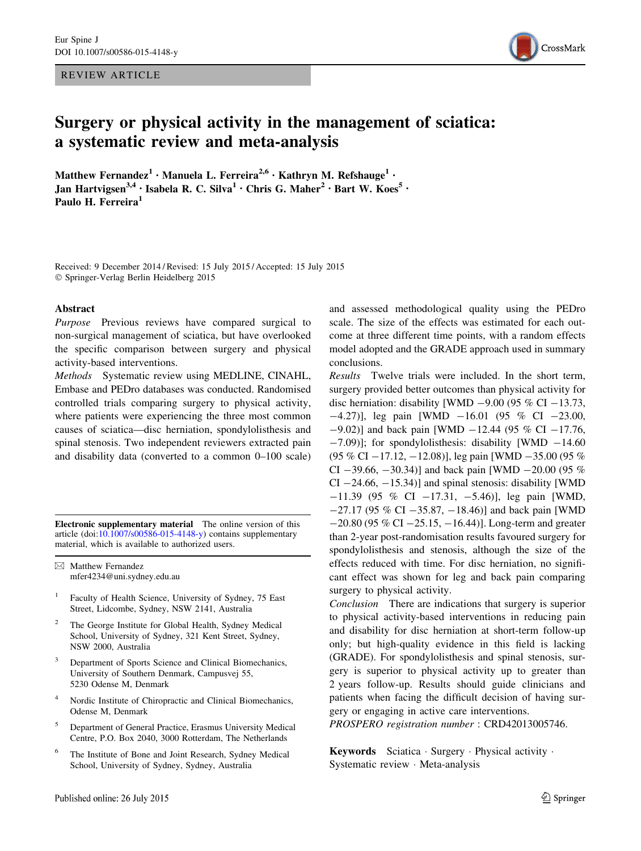REVIEW ARTICLE



# Surgery or physical activity in the management of sciatica: a systematic review and meta-analysis

Matthew Fernandez<sup>1</sup> • Manuela L. Ferreira<sup>2,6</sup> • Kathryn M. Refshauge<sup>1</sup> • Jan Hartvigsen<sup>3,4</sup> · Isabela R. C. Silva<sup>1</sup> · Chris G. Maher<sup>2</sup> · Bart W. Koes<sup>5</sup> · Paulo H. Ferreira<sup>1</sup>

Received: 9 December 2014 / Revised: 15 July 2015 / Accepted: 15 July 2015 - Springer-Verlag Berlin Heidelberg 2015

#### Abstract

Purpose Previous reviews have compared surgical to non-surgical management of sciatica, but have overlooked the specific comparison between surgery and physical activity-based interventions.

Methods Systematic review using MEDLINE, CINAHL, Embase and PEDro databases was conducted. Randomised controlled trials comparing surgery to physical activity, where patients were experiencing the three most common causes of sciatica—disc herniation, spondylolisthesis and spinal stenosis. Two independent reviewers extracted pain and disability data (converted to a common 0–100 scale)

Electronic supplementary material The online version of this article (doi:[10.1007/s00586-015-4148-y\)](http://dx.doi.org/10.1007/s00586-015-4148-y) contains supplementary material, which is available to authorized users.

 $\boxtimes$  Matthew Fernandez mfer4234@uni.sydney.edu.au

- <sup>1</sup> Faculty of Health Science, University of Sydney, 75 East Street, Lidcombe, Sydney, NSW 2141, Australia
- The George Institute for Global Health, Sydney Medical School, University of Sydney, 321 Kent Street, Sydney, NSW 2000, Australia
- Department of Sports Science and Clinical Biomechanics, University of Southern Denmark, Campusvej 55, 5230 Odense M, Denmark
- Nordic Institute of Chiropractic and Clinical Biomechanics, Odense M, Denmark
- <sup>5</sup> Department of General Practice, Erasmus University Medical Centre, P.O. Box 2040, 3000 Rotterdam, The Netherlands
- <sup>6</sup> The Institute of Bone and Joint Research, Sydney Medical School, University of Sydney, Sydney, Australia

and assessed methodological quality using the PEDro scale. The size of the effects was estimated for each outcome at three different time points, with a random effects model adopted and the GRADE approach used in summary conclusions.

Results Twelve trials were included. In the short term, surgery provided better outcomes than physical activity for disc herniation: disability [WMD  $-9.00$  (95 % CI  $-13.73$ ,  $[-4.27]$ ], leg pain [WMD  $-16.01$  (95 % CI  $-23.00$ ,  $-9.02$ )] and back pain [WMD  $-12.44$  (95 % CI  $-17.76$ ,  $-7.09$ ]; for spondylolisthesis: disability [WMD  $-14.60$  $(95\% \text{ CI} -17.12, -12.08)$ ], leg pain [WMD  $-35.00$  (95 %) CI  $-39.66, -30.34$ ] and back pain [WMD  $-20.00$  (95 %)  $CI -24.66, -15.34$ ] and spinal stenosis: disability [WMD  $-11.39$  (95 % CI  $-17.31, -5.46$ )], leg pain [WMD,  $-27.17$  (95 % CI  $-35.87, -18.46$ )] and back pain [WMD  $-20.80$  (95 % CI  $-25.15$ ,  $-16.44$ )]. Long-term and greater than 2-year post-randomisation results favoured surgery for spondylolisthesis and stenosis, although the size of the effects reduced with time. For disc herniation, no significant effect was shown for leg and back pain comparing surgery to physical activity.

Conclusion There are indications that surgery is superior to physical activity-based interventions in reducing pain and disability for disc herniation at short-term follow-up only; but high-quality evidence in this field is lacking (GRADE). For spondylolisthesis and spinal stenosis, surgery is superior to physical activity up to greater than 2 years follow-up. Results should guide clinicians and patients when facing the difficult decision of having surgery or engaging in active care interventions.

PROSPERO registration number : CRD42013005746.

Keywords Sciatica · Surgery · Physical activity · Systematic review - Meta-analysis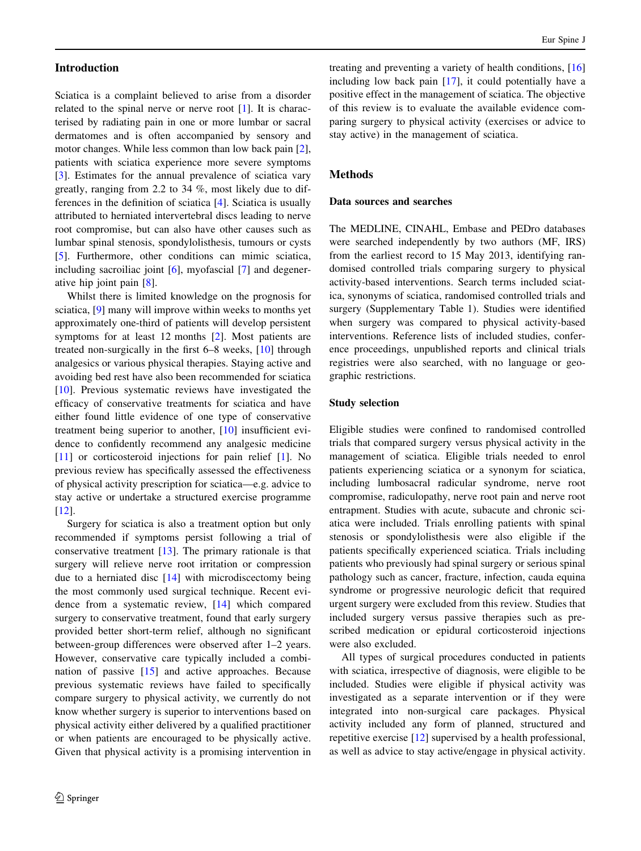## Introduction

Sciatica is a complaint believed to arise from a disorder related to the spinal nerve or nerve root [[1\]](#page-14-0). It is characterised by radiating pain in one or more lumbar or sacral dermatomes and is often accompanied by sensory and motor changes. While less common than low back pain [\[2](#page-14-0)], patients with sciatica experience more severe symptoms [\[3](#page-14-0)]. Estimates for the annual prevalence of sciatica vary greatly, ranging from 2.2 to 34 %, most likely due to differences in the definition of sciatica [\[4](#page-14-0)]. Sciatica is usually attributed to herniated intervertebral discs leading to nerve root compromise, but can also have other causes such as lumbar spinal stenosis, spondylolisthesis, tumours or cysts [\[5](#page-15-0)]. Furthermore, other conditions can mimic sciatica, including sacroiliac joint [\[6](#page-15-0)], myofascial [\[7](#page-15-0)] and degenerative hip joint pain [[8\]](#page-15-0).

Whilst there is limited knowledge on the prognosis for sciatica, [[9\]](#page-15-0) many will improve within weeks to months yet approximately one-third of patients will develop persistent symptoms for at least 12 months [[2\]](#page-14-0). Most patients are treated non-surgically in the first 6–8 weeks, [\[10](#page-15-0)] through analgesics or various physical therapies. Staying active and avoiding bed rest have also been recommended for sciatica [\[10](#page-15-0)]. Previous systematic reviews have investigated the efficacy of conservative treatments for sciatica and have either found little evidence of one type of conservative treatment being superior to another, [\[10](#page-15-0)] insufficient evidence to confidently recommend any analgesic medicine [\[11](#page-15-0)] or corticosteroid injections for pain relief [[1\]](#page-14-0). No previous review has specifically assessed the effectiveness of physical activity prescription for sciatica—e.g. advice to stay active or undertake a structured exercise programme [\[12](#page-15-0)].

Surgery for sciatica is also a treatment option but only recommended if symptoms persist following a trial of conservative treatment [\[13](#page-15-0)]. The primary rationale is that surgery will relieve nerve root irritation or compression due to a herniated disc [[14\]](#page-15-0) with microdiscectomy being the most commonly used surgical technique. Recent evidence from a systematic review, [[14\]](#page-15-0) which compared surgery to conservative treatment, found that early surgery provided better short-term relief, although no significant between-group differences were observed after 1–2 years. However, conservative care typically included a combination of passive [[15\]](#page-15-0) and active approaches. Because previous systematic reviews have failed to specifically compare surgery to physical activity, we currently do not know whether surgery is superior to interventions based on physical activity either delivered by a qualified practitioner or when patients are encouraged to be physically active. Given that physical activity is a promising intervention in treating and preventing a variety of health conditions, [[16\]](#page-15-0) including low back pain [\[17](#page-15-0)], it could potentially have a positive effect in the management of sciatica. The objective of this review is to evaluate the available evidence comparing surgery to physical activity (exercises or advice to stay active) in the management of sciatica.

## Methods

#### Data sources and searches

The MEDLINE, CINAHL, Embase and PEDro databases were searched independently by two authors (MF, IRS) from the earliest record to 15 May 2013, identifying randomised controlled trials comparing surgery to physical activity-based interventions. Search terms included sciatica, synonyms of sciatica, randomised controlled trials and surgery (Supplementary Table 1). Studies were identified when surgery was compared to physical activity-based interventions. Reference lists of included studies, conference proceedings, unpublished reports and clinical trials registries were also searched, with no language or geographic restrictions.

## Study selection

Eligible studies were confined to randomised controlled trials that compared surgery versus physical activity in the management of sciatica. Eligible trials needed to enrol patients experiencing sciatica or a synonym for sciatica, including lumbosacral radicular syndrome, nerve root compromise, radiculopathy, nerve root pain and nerve root entrapment. Studies with acute, subacute and chronic sciatica were included. Trials enrolling patients with spinal stenosis or spondylolisthesis were also eligible if the patients specifically experienced sciatica. Trials including patients who previously had spinal surgery or serious spinal pathology such as cancer, fracture, infection, cauda equina syndrome or progressive neurologic deficit that required urgent surgery were excluded from this review. Studies that included surgery versus passive therapies such as prescribed medication or epidural corticosteroid injections were also excluded.

All types of surgical procedures conducted in patients with sciatica, irrespective of diagnosis, were eligible to be included. Studies were eligible if physical activity was investigated as a separate intervention or if they were integrated into non-surgical care packages. Physical activity included any form of planned, structured and repetitive exercise [\[12](#page-15-0)] supervised by a health professional, as well as advice to stay active/engage in physical activity.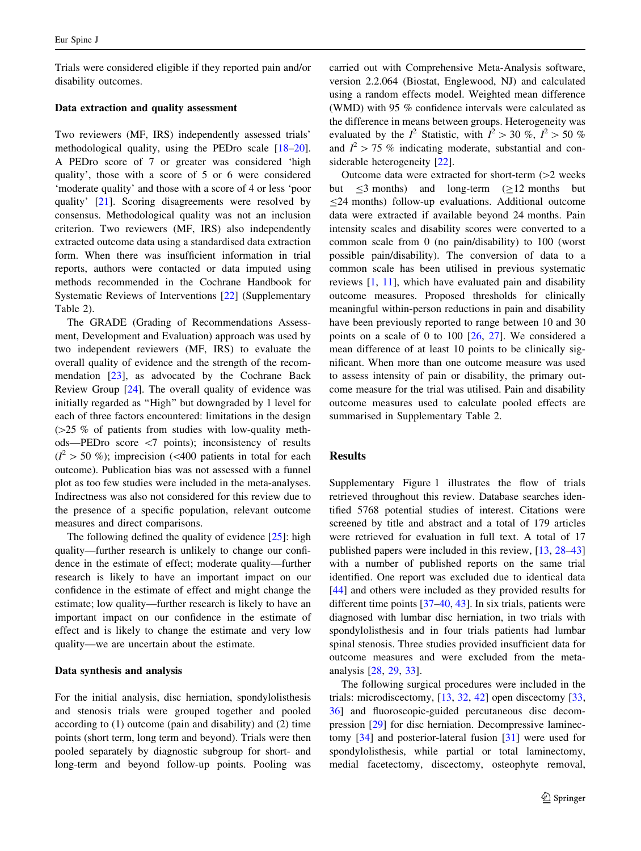Trials were considered eligible if they reported pain and/or disability outcomes.

### Data extraction and quality assessment

Two reviewers (MF, IRS) independently assessed trials' methodological quality, using the PEDro scale [\[18–20](#page-15-0)]. A PEDro score of 7 or greater was considered 'high quality', those with a score of 5 or 6 were considered 'moderate quality' and those with a score of 4 or less 'poor quality' [[21\]](#page-15-0). Scoring disagreements were resolved by consensus. Methodological quality was not an inclusion criterion. Two reviewers (MF, IRS) also independently extracted outcome data using a standardised data extraction form. When there was insufficient information in trial reports, authors were contacted or data imputed using methods recommended in the Cochrane Handbook for Systematic Reviews of Interventions [\[22](#page-15-0)] (Supplementary Table 2).

The GRADE (Grading of Recommendations Assessment, Development and Evaluation) approach was used by two independent reviewers (MF, IRS) to evaluate the overall quality of evidence and the strength of the recommendation [\[23](#page-15-0)], as advocated by the Cochrane Back Review Group [\[24](#page-15-0)]. The overall quality of evidence was initially regarded as ''High'' but downgraded by 1 level for each of three factors encountered: limitations in the design  $(>=25\%$  of patients from studies with low-quality methods—PEDro score \7 points); inconsistency of results  $(I^2 > 50 \%)$ ; imprecision (<400 patients in total for each outcome). Publication bias was not assessed with a funnel plot as too few studies were included in the meta-analyses. Indirectness was also not considered for this review due to the presence of a specific population, relevant outcome measures and direct comparisons.

The following defined the quality of evidence [[25\]](#page-15-0): high quality—further research is unlikely to change our confidence in the estimate of effect; moderate quality—further research is likely to have an important impact on our confidence in the estimate of effect and might change the estimate; low quality—further research is likely to have an important impact on our confidence in the estimate of effect and is likely to change the estimate and very low quality—we are uncertain about the estimate.

#### Data synthesis and analysis

For the initial analysis, disc herniation, spondylolisthesis and stenosis trials were grouped together and pooled according to (1) outcome (pain and disability) and (2) time points (short term, long term and beyond). Trials were then pooled separately by diagnostic subgroup for short- and long-term and beyond follow-up points. Pooling was carried out with Comprehensive Meta-Analysis software, version 2.2.064 (Biostat, Englewood, NJ) and calculated using a random effects model. Weighted mean difference (WMD) with 95 % confidence intervals were calculated as the difference in means between groups. Heterogeneity was evaluated by the  $I^2$  Statistic, with  $I^2 > 30$  %,  $I^2 > 50$  % and  $I^2 > 75$  % indicating moderate, substantial and considerable heterogeneity [[22\]](#page-15-0).

Outcome data were extracted for short-term  $(>= 2$  weeks but  $\leq$ 3 months) and long-term ( $\geq$ 12 months but  $\leq$ 24 months) follow-up evaluations. Additional outcome data were extracted if available beyond 24 months. Pain intensity scales and disability scores were converted to a common scale from 0 (no pain/disability) to 100 (worst possible pain/disability). The conversion of data to a common scale has been utilised in previous systematic reviews [\[1](#page-14-0), [11](#page-15-0)], which have evaluated pain and disability outcome measures. Proposed thresholds for clinically meaningful within-person reductions in pain and disability have been previously reported to range between 10 and 30 points on a scale of 0 to 100 [[26,](#page-15-0) [27](#page-15-0)]. We considered a mean difference of at least 10 points to be clinically significant. When more than one outcome measure was used to assess intensity of pain or disability, the primary outcome measure for the trial was utilised. Pain and disability outcome measures used to calculate pooled effects are summarised in Supplementary Table 2.

## Results

Supplementary Figure 1 illustrates the flow of trials retrieved throughout this review. Database searches identified 5768 potential studies of interest. Citations were screened by title and abstract and a total of 179 articles were retrieved for evaluation in full text. A total of 17 published papers were included in this review, [[13,](#page-15-0) [28–](#page-15-0)[43\]](#page-16-0) with a number of published reports on the same trial identified. One report was excluded due to identical data [\[44](#page-16-0)] and others were included as they provided results for different time points [[37–40](#page-16-0), [43](#page-16-0)]. In six trials, patients were diagnosed with lumbar disc herniation, in two trials with spondylolisthesis and in four trials patients had lumbar spinal stenosis. Three studies provided insufficient data for outcome measures and were excluded from the metaanalysis [\[28](#page-15-0), [29,](#page-15-0) [33\]](#page-15-0).

The following surgical procedures were included in the trials: microdiscectomy, [[13,](#page-15-0) [32](#page-15-0), [42\]](#page-16-0) open discectomy [[33,](#page-15-0) [36](#page-15-0)] and fluoroscopic-guided percutaneous disc decompression [\[29](#page-15-0)] for disc herniation. Decompressive laminectomy [[34\]](#page-15-0) and posterior-lateral fusion [[31\]](#page-15-0) were used for spondylolisthesis, while partial or total laminectomy, medial facetectomy, discectomy, osteophyte removal,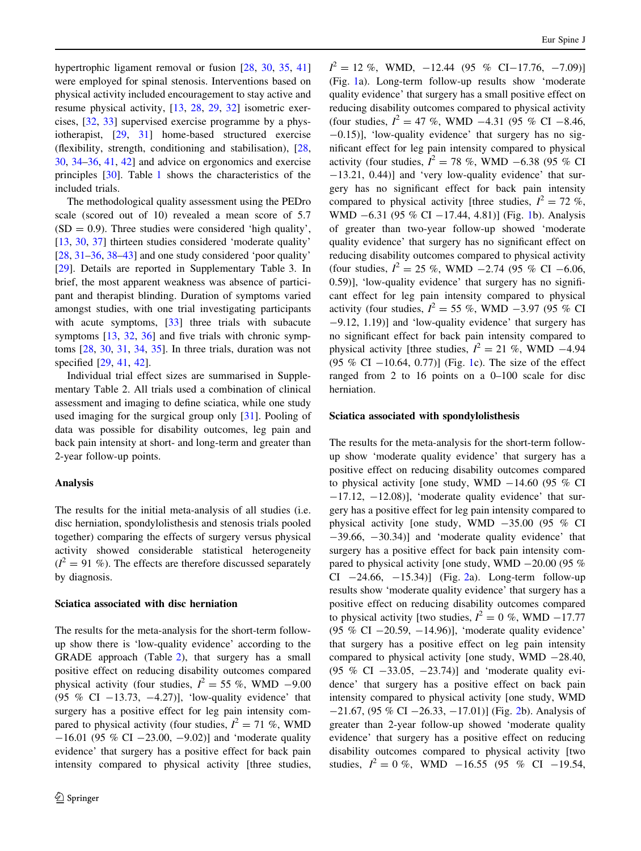hypertrophic ligament removal or fusion [[28,](#page-15-0) [30,](#page-15-0) [35](#page-15-0), [41\]](#page-16-0) were employed for spinal stenosis. Interventions based on physical activity included encouragement to stay active and resume physical activity, [[13,](#page-15-0) [28](#page-15-0), [29,](#page-15-0) [32](#page-15-0)] isometric exercises, [[32,](#page-15-0) [33\]](#page-15-0) supervised exercise programme by a physiotherapist, [[29,](#page-15-0) [31\]](#page-15-0) home-based structured exercise (flexibility, strength, conditioning and stabilisation), [[28,](#page-15-0) [30,](#page-15-0) [34–36,](#page-15-0) [41](#page-16-0), [42\]](#page-16-0) and advice on ergonomics and exercise principles [[30\]](#page-15-0). Table [1](#page-4-0) shows the characteristics of the included trials.

The methodological quality assessment using the PEDro scale (scored out of 10) revealed a mean score of 5.7  $(SD = 0.9)$ . Three studies were considered 'high quality', [\[13](#page-15-0), [30](#page-15-0), [37\]](#page-16-0) thirteen studies considered 'moderate quality' [\[28](#page-15-0), [31–36](#page-15-0), [38–43](#page-16-0)] and one study considered 'poor quality' [\[29](#page-15-0)]. Details are reported in Supplementary Table 3. In brief, the most apparent weakness was absence of participant and therapist blinding. Duration of symptoms varied amongst studies, with one trial investigating participants with acute symptoms, [[33\]](#page-15-0) three trials with subacute symptoms [\[13](#page-15-0), [32](#page-15-0), [36](#page-15-0)] and five trials with chronic symptoms [\[28](#page-15-0), [30,](#page-15-0) [31,](#page-15-0) [34,](#page-15-0) [35\]](#page-15-0). In three trials, duration was not specified [\[29](#page-15-0), [41,](#page-16-0) [42\]](#page-16-0).

Individual trial effect sizes are summarised in Supplementary Table 2. All trials used a combination of clinical assessment and imaging to define sciatica, while one study used imaging for the surgical group only [[31\]](#page-15-0). Pooling of data was possible for disability outcomes, leg pain and back pain intensity at short- and long-term and greater than 2-year follow-up points.

## Analysis

The results for the initial meta-analysis of all studies (i.e. disc herniation, spondylolisthesis and stenosis trials pooled together) comparing the effects of surgery versus physical activity showed considerable statistical heterogeneity  $(I^2 = 91 \%)$ . The effects are therefore discussed separately by diagnosis.

#### Sciatica associated with disc herniation

The results for the meta-analysis for the short-term followup show there is 'low-quality evidence' according to the GRADE approach (Table [2\)](#page-8-0), that surgery has a small positive effect on reducing disability outcomes compared physical activity (four studies,  $I^2 = 55$  %, WMD -9.00 (95 % CI  $-13.73$ ,  $-4.27$ )], 'low-quality evidence' that surgery has a positive effect for leg pain intensity compared to physical activity (four studies,  $I^2 = 71$  %, WMD  $-16.01$  (95 % CI  $-23.00, -9.02$ )] and 'moderate quality evidence' that surgery has a positive effect for back pain intensity compared to physical activity [three studies,

 $I^2 = 12$  %, WMD,  $-12.44$  (95 % CI-17.76, -7.09)] (Fig. [1a](#page-11-0)). Long-term follow-up results show 'moderate quality evidence' that surgery has a small positive effect on reducing disability outcomes compared to physical activity (four studies,  $I^2 = 47$  %, WMD  $-4.31$  (95 % CI  $-8.46$ ,  $-0.15$ ], 'low-quality evidence' that surgery has no significant effect for leg pain intensity compared to physical activity (four studies,  $I^2 = 78$  %, WMD  $-6.38$  (95 % CI -13.21, 0.44)] and 'very low-quality evidence' that surgery has no significant effect for back pain intensity compared to physical activity [three studies,  $I^2 = 72$  %, WMD  $-6.31$  $-6.31$  (95 % CI  $-17.44$ , 4.81)] (Fig. 1b). Analysis of greater than two-year follow-up showed 'moderate quality evidence' that surgery has no significant effect on reducing disability outcomes compared to physical activity (four studies,  $I^2 = 25$  %, WMD -2.74 (95 % CI -6.06, 0.59)], 'low-quality evidence' that surgery has no significant effect for leg pain intensity compared to physical activity (four studies,  $I^2 = 55$  %, WMD  $-3.97$  (95 % CI  $-9.12$ , 1.19)] and 'low-quality evidence' that surgery has no significant effect for back pain intensity compared to physical activity [three studies,  $I^2 = 21$  %, WMD -4.94 (95 % CI  $-10.64$ , 0.77)] (Fig. [1c](#page-11-0)). The size of the effect ranged from 2 to 16 points on a 0–100 scale for disc herniation.

#### Sciatica associated with spondylolisthesis

The results for the meta-analysis for the short-term followup show 'moderate quality evidence' that surgery has a positive effect on reducing disability outcomes compared to physical activity [one study, WMD  $-14.60$  (95 % CI  $-17.12$ ,  $-12.08$ ], 'moderate quality evidence' that surgery has a positive effect for leg pain intensity compared to physical activity [one study, WMD  $-35.00$  (95 % CI  $-39.66$ ,  $-30.34$ ] and 'moderate quality evidence' that surgery has a positive effect for back pain intensity compared to physical activity [one study, WMD  $-20.00$  (95 %) CI  $-24.66$  $-24.66$  $-24.66$ ,  $-15.34$ ] (Fig. 2a). Long-term follow-up results show 'moderate quality evidence' that surgery has a positive effect on reducing disability outcomes compared to physical activity [two studies,  $I^2 = 0$  %, WMD -17.77 (95 % CI  $-20.59$ ,  $-14.96$ )], 'moderate quality evidence' that surgery has a positive effect on leg pain intensity compared to physical activity [one study, WMD  $-28.40$ ,  $(95 \% \text{ CI} -33.05, -23.74)$ ] and 'moderate quality evidence' that surgery has a positive effect on back pain intensity compared to physical activity [one study, WMD  $-21.67$ , (95 % CI  $-26.33$ ,  $-17.01$ )] (Fig. [2b](#page-12-0)). Analysis of greater than 2-year follow-up showed 'moderate quality evidence' that surgery has a positive effect on reducing disability outcomes compared to physical activity [two studies,  $I^2 = 0$  %, WMD  $-16.55$  (95 % CI  $-19.54$ ,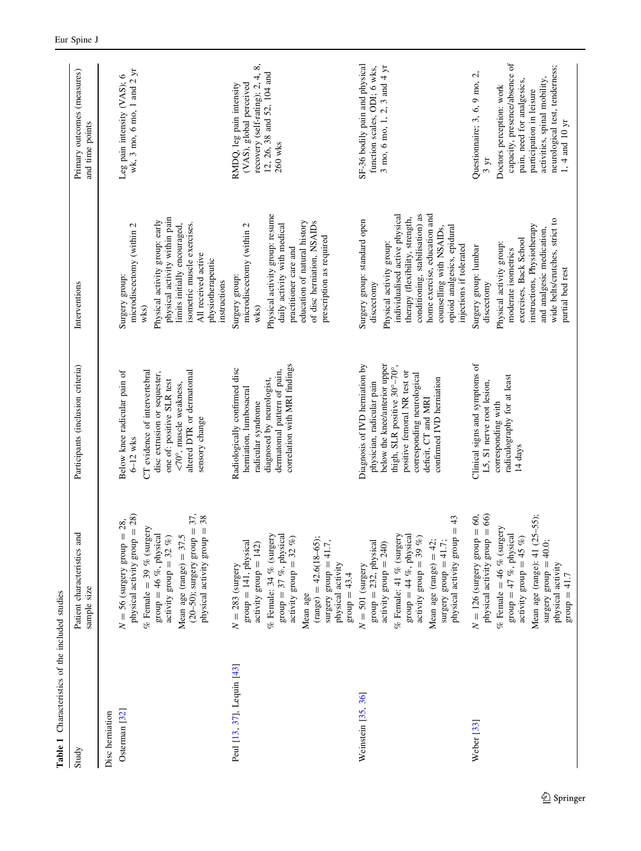<span id="page-4-0"></span>

| Study                           | Patient characteristics and<br>sample size                                                                                                                                                                                                                               | Participants (inclusion criteria)                                                                                                                                                                                                            | Interventions                                                                                                                                                                                                                                                                                        | Primary outcomes (measures)<br>and time points                                                                                                                                                                                                                 |
|---------------------------------|--------------------------------------------------------------------------------------------------------------------------------------------------------------------------------------------------------------------------------------------------------------------------|----------------------------------------------------------------------------------------------------------------------------------------------------------------------------------------------------------------------------------------------|------------------------------------------------------------------------------------------------------------------------------------------------------------------------------------------------------------------------------------------------------------------------------------------------------|----------------------------------------------------------------------------------------------------------------------------------------------------------------------------------------------------------------------------------------------------------------|
| Osterman [32]<br>Disc hemiation | $(20-50)$ ; surgery group = 37,<br>physical activity group = 28)<br>physical activity group = 38<br>28,<br>$\%$ Female = 39 $\%$ (surgery<br>group = 46 %, physical<br>activity group = 32 $\%$<br>Mean age $(range) = 37.5$<br>$N = 56$ (surgery group $=$              | Below knee radicular pain of<br>CT evidence of intervertebral<br>altered DTR or dermatomal<br>disc extrusion or sequester,<br>one of: positive SLR test<br><70°, muscle weakness,<br>sensory change<br>$6-12$ wks                            | physical activity within pain<br>Physical activity group: early<br>isometric muscle exercises.<br>microdiscectomy (within 2<br>limits initially encouraged,<br>All received active<br>physiotherapeutic<br>Surgery group:<br>instructions<br>wks)                                                    | wk, 3 mo, 6 mo, 1 and 2 yr<br>Leg pain intensity (VAS); 6                                                                                                                                                                                                      |
| Peul [13, 37], Lequin [43]      | $%$ Female: 34 $%$ (surgery<br>group = 37 %, physical<br>activity group = 32 $%$<br>$(range) = 42.6(18-65);$<br>surgery group = $41.7$ ,<br>$group = 141, physical$<br>activity group $= 142$ )<br>physical activity<br>$N = 283$ (surgery<br>$group = 43.4$<br>Mean age | correlation with MRI findings<br>Radiologically confirmed disc<br>dermatomal pattern of pain,<br>diagnosed by neurologist,<br>herniation, lumbosacral<br>radicular syndrome                                                                  | Physical activity group: resume<br>education of natural history<br>of disc herniation, NSAIDs<br>daily activity with medical<br>microdiscectomy (within 2<br>prescription as required<br>practitioner care and<br>Surgery group:<br>wks)                                                             | recovery (self-rating); 2, 4, 8,<br>12, 26, 38 and 52, 104 and<br>(VAS), global perceived<br>RMDQ, leg pain intensity<br>$260$ wks                                                                                                                             |
| Weinstein [35, 36]              | physical activity group = 43<br>$\%$ Female: 41 $\%$ (surgery<br>group = $44 \%$ , physical<br>activity group = 39 $%$<br>Mean age (range) = $42$ ;<br>$group = 232$ , physical<br>surgery group = $41.7$ ;<br>activity group $= 240$ )<br>$N = 501$ (surgery            | below the knee/anterior upper<br>Diagnosis of IVD herniation by<br>thigh, SLR positive 30°-70°,<br>positive femoral NR test or<br>corresponding neurological<br>confirmed IVD herniation<br>physician, radicular pain<br>deficit, CT and MRI | conditioning, stabilisation) as<br>home exercise, education and<br>individualised active physical<br>therapy (flexibility, strength,<br>Surgery group: standard open<br>opioid analgesics, epidural<br>counselling with NSAIDs,<br>Physical activity group:<br>injections if tolerated<br>discectomy | SF-36 bodily pain and physical<br>3 mo, 6 mo, 1, 2, 3 and 4 yr<br>function scales, ODI; 6 wks,                                                                                                                                                                 |
| Weber <sup>[33]</sup>           | $N = 126$ (surgery group = 60,<br>physical activity group $= 66$ )<br>Mean age (range): 41 (25-55);<br>$%$ Female = 46 % (surgery<br>group = 47 %, physical<br>activity group = 45 $%$<br>surgery group $=$ 40.0;<br>physical activity<br>$\text{group} = 41.7$          | Clinical signs and symptoms of<br>radiculography for at least<br>L5, S1 nerve root lesion,<br>corresponding with<br>14 days                                                                                                                  | wide belts/crutches, strict to<br>instructions, Physiotherapy<br>and analgesic medication,<br>exercises, Back School<br>Physical activity group:<br>Surgery group: lumbar<br>moderate isometrics<br>partial bed rest<br>discectomy                                                                   | capacity, presence/absence of<br>neurological test, tenderness;<br>Questionnaire; 3, 6, 9 mo, 2,<br>activities, spinal mobility,<br>pain, need for analgesics,<br>Doctors perception: work<br>participation in leisure<br>$1, 4$ and $10$ yr<br>$3 \text{ yr}$ |

Table 1 Characteristics of the included studies

Table 1 Characteristics of the included studies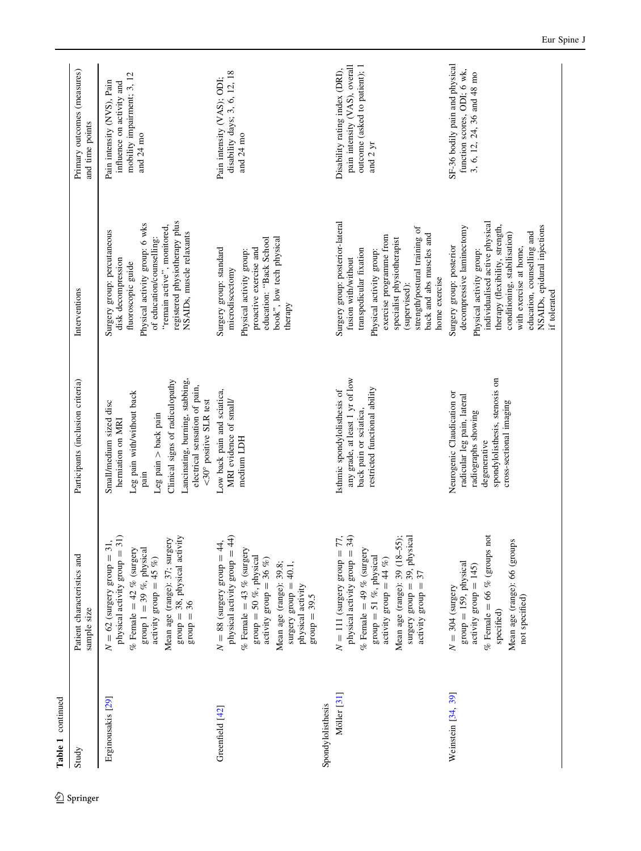| Table 1 continued      |                                                                                                                                                                                                                                                             |                                                                                                                                                                                                                                              |                                                                                                                                                                                                                                                                                               |                                                                                                                        |
|------------------------|-------------------------------------------------------------------------------------------------------------------------------------------------------------------------------------------------------------------------------------------------------------|----------------------------------------------------------------------------------------------------------------------------------------------------------------------------------------------------------------------------------------------|-----------------------------------------------------------------------------------------------------------------------------------------------------------------------------------------------------------------------------------------------------------------------------------------------|------------------------------------------------------------------------------------------------------------------------|
| Study                  | Patient characteristics and<br>sample size                                                                                                                                                                                                                  | Participants (inclusion criteria)                                                                                                                                                                                                            | Interventions                                                                                                                                                                                                                                                                                 | Primary outcomes (measures)<br>and time points                                                                         |
| Erginousakis [29]      | physical activity group $= 31$ )<br>group = 38, physical activity<br>Mean age (range): 37; surgery<br>$N = 62$ (surgery group = 31,<br>$%$ Female = 42 % (surgery<br>group $1 = 39 \%$ , physical<br>activity group = 45 %)<br>$\mathrm{group}=36$          | Clinical signs of radiculopathy<br>Lancinating, burning, stabbing,<br>electrical sensation of pain,<br>Leg pain with/without back<br><30° positive SLR test<br>Small/medium sized disc<br>Leg pain $>$ back pain<br>hemiation on MRI<br>pain | registered physiotherapy plus<br>Physical activity group: 6 wks<br>"remain active", monitored,<br>Surgery group: percutaneous<br>NSAIDs, muscle relaxants<br>of education/counselling:<br>disk decompression<br>fluoroscopic guide                                                            | mobility impairment; 3, 12<br>Pain intensity (NVS), Pain<br>influence on activity and<br>and 24 mo                     |
| Greenfield [42]        | physical activity group $= 44$ )<br>$N = 88$ (surgery group = 44,<br>$%$ Female = 43 % (surgery<br>$group = 50 \%$ , physical<br>activity group = 36 %)<br>Mean age (range): 39.8;<br>surgery group $=$ 40.1,<br>physical activity<br>$\text{group} = 39.5$ | Low back pain and sciatica,<br>MRI evidence of small/<br>medium LDH                                                                                                                                                                          | education: "Back School<br>book", low tech physical<br>proactive exercise and<br>Surgery group: standard<br>Physical activity group:<br>microdiscectomy<br>therapy                                                                                                                            | disability days; 3, 6, 12, 18<br>Pain intensity (VAS); ODI;<br>and 24 mo                                               |
| Spondylolisthesis      |                                                                                                                                                                                                                                                             |                                                                                                                                                                                                                                              |                                                                                                                                                                                                                                                                                               |                                                                                                                        |
| Möller <sup>[31]</sup> | Mean age (range): 39 (18-55);<br>$N = 111$ (surgery group = 77,<br>physical activity group = 34)<br>surgery $group = 39$ , $physical$<br>% Female = 49 % (surgery<br>group = 51 %, physical<br>activity group = $44\%$ )<br>activity group = $37$           | any grade, at least 1 yr of low<br>restricted functional ability<br>Isthmic spondylolisthesis of<br>back pain or sciatica,                                                                                                                   | Surgery group: posterior-lateral<br>strength/postural training of<br>back and abs muscles and<br>exercise programme from<br>specialist physiotherapist<br>transpedicular fixation<br>Physical activity group:<br>fusion with/without<br>home exercise<br>(supervised):                        | outcome (asked to patient); 1<br>pain intensity (VAS), overall<br>Disability rating index (DRI),<br>and $2 \text{ yr}$ |
| Weinstein [34, 39]     | $\%$ Female = 66 $\%$ (groups not<br>Mean age (range): 66 (groups<br>$group = 159, physical$<br>activity group $= 145$ )<br>$N = 304$ (surgery<br>not specified)<br>specified)                                                                              | spondylolisthesis, stenosis on<br>Neurogenic Claudication or<br>radicular leg pain, lateral<br>cross-sectional imaging<br>radiographs showing<br>degenerative                                                                                | individualised active physical<br>therapy (flexibility, strength,<br>NSAIDs, epidural injections<br>decompressive laminectomy<br>education, counselling and<br>conditioning, stabilisation)<br>Surgery group: posterior<br>with exercise at home,<br>Physical activity group:<br>if tolerated | SF-36 bodily pain and physical<br>function scores, ODI; 6 wk,<br>3, 6, 12, 24, 36 and 48 mo                            |

 $\underline{\textcircled{\tiny 2}}$  Springer

## Eur Spine J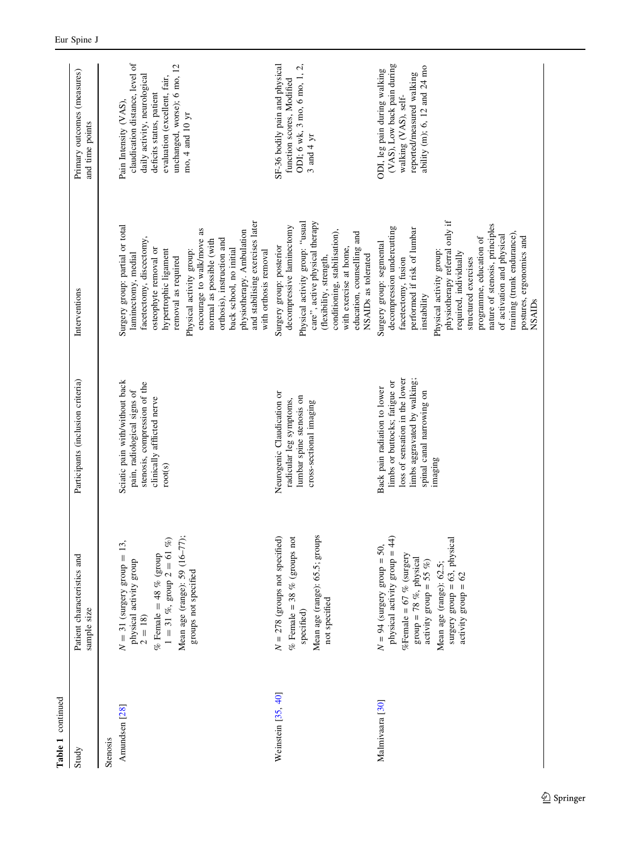| Table 1 continued  |                                                                                                                                                                                                                                            |                                                                                                                                                                         |                                                                                                                                                                                                                                                                                                                                                                                                                    |                                                                                                                                                                                                        |
|--------------------|--------------------------------------------------------------------------------------------------------------------------------------------------------------------------------------------------------------------------------------------|-------------------------------------------------------------------------------------------------------------------------------------------------------------------------|--------------------------------------------------------------------------------------------------------------------------------------------------------------------------------------------------------------------------------------------------------------------------------------------------------------------------------------------------------------------------------------------------------------------|--------------------------------------------------------------------------------------------------------------------------------------------------------------------------------------------------------|
| Study              | Patient characteristics and<br>sample size                                                                                                                                                                                                 | Participants (inclusion criteria)                                                                                                                                       | Interventions                                                                                                                                                                                                                                                                                                                                                                                                      | Primary outcomes (measures)<br>and time points                                                                                                                                                         |
| Stenosis           |                                                                                                                                                                                                                                            |                                                                                                                                                                         |                                                                                                                                                                                                                                                                                                                                                                                                                    |                                                                                                                                                                                                        |
| Amundsen [28]      | $1 = 31\%$ , group $2 = 61\%$<br>Mean age (range): 59 (16-77)<br>$N = 31$ (surgery group = 13,<br>% Female = $48\%$ (group<br>physical activity group<br>groups not specified<br>$2 = 18$                                                  | Sciatic pain with/without back<br>stenosis, compression of the<br>pain, radiological signs of<br>clinically afflicted nerve<br>root(s)                                  | and stabilising exercises later<br>Surgery group: partial or total<br>encourage to walk/move as<br>physiotherapy. Ambulation<br>facetectomy, discectomy,<br>orthosis), instruction and<br>normal as possible (with<br>back school, no initial<br>osteophyte removal or<br>hypertrophic ligament<br>Physical activity group:<br>with orthosis removal<br>laminectomy, medial<br>removal as required                 | claudication distance, level of<br>unchanged, worse); 6 mo, 12<br>daily activity, neurological<br>evaluation (excellent, fair,<br>deficits status, patient<br>Pain Intensity (VAS),<br>mo, 4 and 10 yr |
| Weinstein [35, 40] | Mean age (range): 65.5; groups<br>$N = 278$ (groups not specified)<br>$%$ Female = 38 % (groups not<br>not specified<br>specified)                                                                                                         | Neurogenic Claudication or<br>lumbar spine stenosis on<br>radicular leg symptoms,<br>cross-sectional imaging                                                            | Physical activity group: "usual<br>care", active physical therapy<br>decompressive laminectomy<br>conditioning, stabilisation),<br>education, counselling and<br>Surgery group: posterior<br>with exercise at home,<br>NSAIDs as tolerated<br>(flexibility, strength,                                                                                                                                              | SF-36 bodily pain and physical<br>ODI; 6 wk, 3 mo, 6 mo, 1, 2,<br>function scores, Modified<br>3 and 4 $yr$                                                                                            |
| Malmivaara [30]    | surgery group $= 63$ , physical<br>physical activity group = $44$<br>$N = 94$ (surgery group = 50,<br>%Female = $67%$ (surgery<br>$group = 78 %$ , physical<br>activity group = 55 $%$<br>Mean age (range): 62.5;<br>activity group = $62$ | loss of sensation in the lower<br>limbs aggravated by walking;<br>limbs or buttocks; fatigue or<br>Back pain radiation to lower<br>spinal canal narrowing on<br>imaging | physiotherapy referral only if<br>nature of stenosis, principles<br>decompression undercutting<br>performed if risk of lumbar<br>training (trunk endurance),<br>of activation and physical<br>postures, ergonomics and<br>programme, education of<br>Surgery group: segmental<br>Physical activity group:<br>required, individually<br>facetectomy, fusion<br>structured exercises<br>instability<br><b>NSAIDs</b> | (VAS), Low back pain during<br>ability (m); 6, 12 and 24 mo<br>ODI, leg pain during walking<br>reported/measured walking<br>walking (VAS), self-                                                       |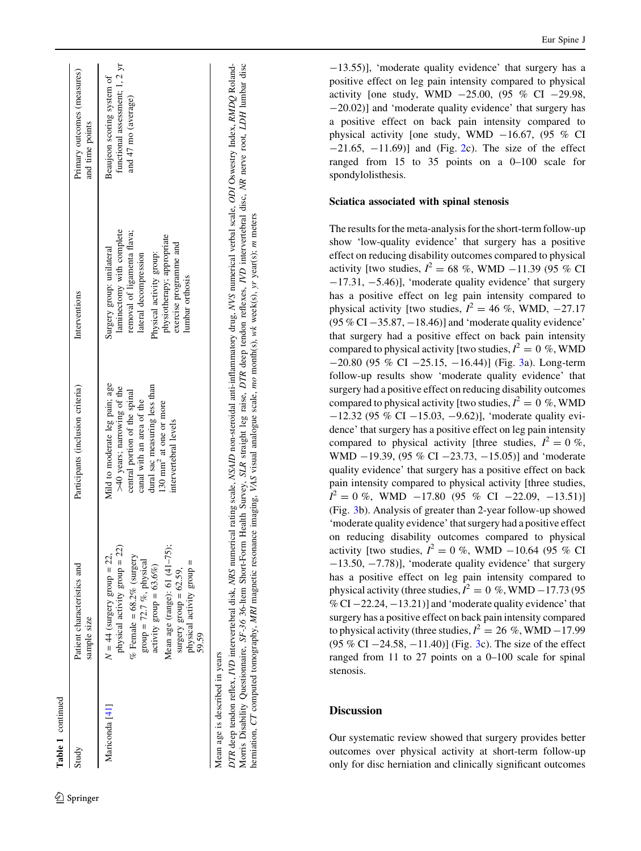| Table 1 continued<br>Study     | Patient characteristics and                                                                                                                                                                                                                                            | Participants (inclusion criteria)                                                                                                                                                                                   | Interventions                                                                                                                                                                                                         | Primary outcomes (measures)                                                         |
|--------------------------------|------------------------------------------------------------------------------------------------------------------------------------------------------------------------------------------------------------------------------------------------------------------------|---------------------------------------------------------------------------------------------------------------------------------------------------------------------------------------------------------------------|-----------------------------------------------------------------------------------------------------------------------------------------------------------------------------------------------------------------------|-------------------------------------------------------------------------------------|
|                                | sample size                                                                                                                                                                                                                                                            |                                                                                                                                                                                                                     |                                                                                                                                                                                                                       | and time points                                                                     |
| Mariconda [41]                 | Mean age (range): $61(41-75)$ ;<br>physical activity group $= 22$ )<br>$N = 44$ (surgery group = 22,<br>% Female = $68.2\%$ (surgery<br>group = $72.7 \%$ , physical<br>physical activity group =<br>activity group = $63.6\%$ )<br>surgery group = $62.59$ ,<br>59.59 | Mild to moderate leg pain; age<br>dural sac measuring less than<br>$>40$ years; narrowing of the<br>central portion of the spinal<br>canal with an area of the<br>130 $mm2$ at one or more<br>intervertebral levels | laminectomy with complete<br>removal of ligamenta flava;<br>physiotherapy; appropriate<br>exercise programme and<br>Surgery group: unilateral<br>Physical activity group:<br>lateral decompression<br>lumbar orthosis | functional assessment; 1, 2 yr<br>Beaujeon scoring system of<br>and 47 mo (average) |
| Mean age is described in years |                                                                                                                                                                                                                                                                        | DTR deep tendon reflex, IVD intervertebral disk, NRS numerical rating scale, NSAID non-steroidal anti-inflammatory drug, NVS numerical verbal scale, ODI Oswestry Index, RMDQ Roland-                               |                                                                                                                                                                                                                       |                                                                                     |

Morris Disability Questionnaire, SF-36 36-ltem Short-Form Health Survey, SLR straight leg raise, DTR deep tendon reflexes, IVD intervertebral disc, NR nerve root, LDH lumbar disc

Morris Disability Questionnaire, SF-36 36-ltem Short-Form Health Survey, SLR straight leg raise, DTR deep tendon reflexes, IVD intervertebral disc, NR nerve root, LDH lumbar disc

meters

herniation, CT computed tomography, MRI magnetic resonance imaging, VAS visual analogue scale, mo month(s), wk week(s), yr year(s); nemiation, CT computed tomography, MRI magnetic resonance imaging, VAS visual analogue scale, mo month(s), wk week(s), yr year(s); m meters Eur Spine J

-13.55)], 'moderate quality evidence' that surgery has a positive effect on leg pain intensity compared to physical activity [one study, WMD  $-25.00$ , (95 % CI  $-29.98$ ,  $-20.02$ )] and 'moderate quality evidence' that surgery has a positive effect on back pain intensity compared to physical activity [one study, WMD  $-16.67$ , (95 % CI  $-21.65$  $-21.65$  $-21.65$ ,  $-11.69$ ] and (Fig. 2c). The size of the effect ranged from 15 to 35 points on a 0–100 scale for spondylolisthesis.

## Sciatica associated with spinal stenosis

The results for the meta-analysis for the short-term follow-up show 'low-quality evidence' that surgery has a positive effect on reducing disability outcomes compared to physical activity [two studies,  $I^2 = 68$  %, WMD -11.39 (95 % CI  $-17.31, -5.46$ ], 'moderate quality evidence' that surgery has a positive effect on leg pain intensity compared to physical activity [two studies,  $I^2 = 46$  %, WMD, -27.17  $(95\% \text{ CI} - 35.87, -18.46)$ ] and 'moderate quality evidence' that surgery had a positive effect on back pain intensity compared to physical activity [two studies,  $I^2 = 0$  %, WMD  $-20.80$  (95 % CI  $-25.15$ ,  $-16.44$ )] (Fig. [3](#page-13-0)a). Long-term follow-up results show 'moderate quality evidence' that surgery had a positive effect on reducing disability outcomes compared to physical activity [two studies,  $I^2 = 0$  %, WMD  $-12.32$  (95 % CI  $-15.03$ ,  $-9.62$ )], 'moderate quality evidence' that surgery has a positive effect on leg pain intensity compared to physical activity [three studies,  $I^2 = 0$  %, WMD  $-19.39$ , (95 % CI  $-23.73$ ,  $-15.05$ )] and 'moderate quality evidence' that surgery has a positive effect on back pain intensity compared to physical activity [three studies,  $I^2 = 0$  %, WMD  $-17.80$  (95 % CI  $-22.09$ ,  $-13.51$ )] (Fig. [3b](#page-13-0)). Analysis of greater than 2-year follow-up showed 'moderate quality evidence' that surgery had a positive effect on reducing disability outcomes compared to physical activity [two studies,  $I^2 = 0$  %, WMD -10.64 (95 % CI  $-13.50, -7.78$ ], 'moderate quality evidence' that surgery has a positive effect on leg pain intensity compared to physical activity (three studies,  $I^2 = 0$  %, WMD -17.73 (95) % CI  $-22.24, -13.21$ ] and 'moderate quality evidence' that surgery has a positive effect on back pain intensity compared to physical activity (three studies,  $l^2 = 26$  %, WMD -17.99  $(95\% \text{ CI} - 24.58, -11.40)$ ] (Fig. [3](#page-13-0)c). The size of the effect ranged from 11 to 27 points on a 0–100 scale for spinal stenosis.

## **Discussion**

Our systematic review showed that surgery provides better outcomes over physical activity at short-term follow-up only for disc herniation and clinically significant outcomes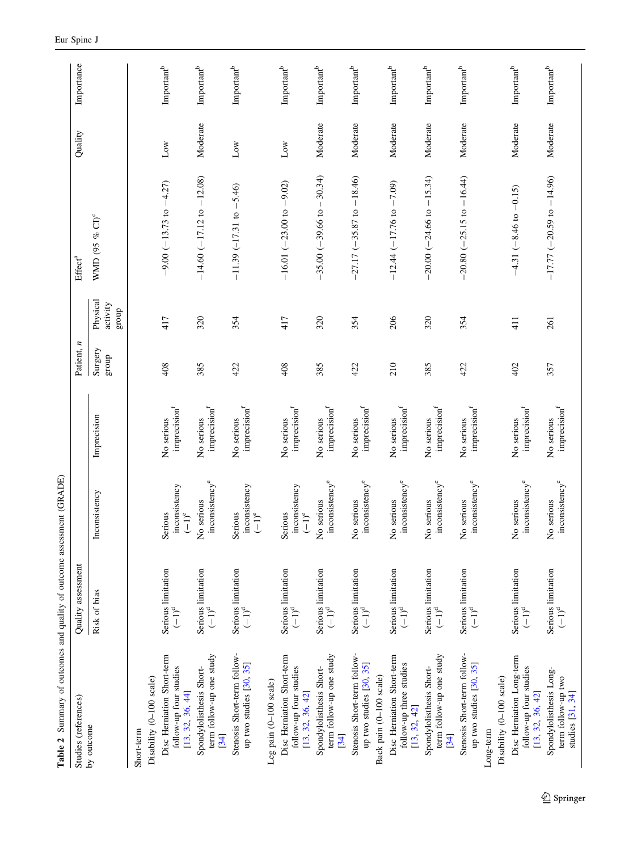<span id="page-8-0"></span>

| Studies (references)                                                                            | Quality assessment                                     |                                          |                                        | Patient, n       |                               | Effect <sup>a</sup>                | Quality         | Importance                             |
|-------------------------------------------------------------------------------------------------|--------------------------------------------------------|------------------------------------------|----------------------------------------|------------------|-------------------------------|------------------------------------|-----------------|----------------------------------------|
| by outcome                                                                                      | Risk of bias                                           | nconsistency                             | Imprecision                            | Surgery<br>dnora | Physical<br>activity<br>group | WMD (95 % CI) <sup>c</sup>         |                 |                                        |
| Disability (0-100 scale)<br>Short-term                                                          |                                                        |                                          |                                        |                  |                               |                                    |                 |                                        |
| Disc Herniation Short-term<br>follow-up four studies<br>[13, 32, 36, 44]                        | Serious limitation<br>$(-1)^d$                         | inconsistency<br>Serious<br>$(-1)^e$     | imprecision $f$<br>No serious          | 408              | 417                           | $-9.00 (-13.73 \text{ to } -4.27)$ | $_{\rm Low}$    | $\mbox{Important}^{\mbox{\tiny\rm b}}$ |
| term follow-up one study<br>Spondylolisthesis Short-<br>$\left[34\right]$                       | Serious limitation<br>$(-1)^{\rm d}$                   | inconsistency <sup>e</sup><br>No serious | imprecision $f$<br>No serious          | 385              | 320                           | $-14.60$ ( $-17.12$ to $-12.08$ )  | Moderate        | $\mbox{Important}^{\mbox{\tiny\rm b}}$ |
| Stenosis Short-term follow-<br>up two studies [30, 35]                                          | Serious limitation<br>$(-1)^d$                         | inconsistency<br>Serious<br>$(-1)^e$     | imprecision <sup>f</sup><br>No serious | 422              | 354                           | $-5.46$<br>$-11.39 (-17.31)$       | $_{\text{Low}}$ | $\mbox{Important}^{\mbox{\tiny\rm b}}$ |
| Leg pain (0-100 scale)                                                                          |                                                        |                                          |                                        |                  |                               |                                    |                 |                                        |
| Disc Herniation Short-term<br>follow-up four studies<br>[13, 32, 36, 42]                        | Serious limitation<br>$\left( -1\right) ^{\mathrm{d}}$ | inconsistency<br>$(-1)^e$<br>Serious     | imprecision $f$<br>No serious          | 408              | 417                           | $-16.01 (-23.00 to -9.02)$         | $_{\text{Low}}$ | $\mbox{Important}^{\mbox{\tiny\rm b}}$ |
| term follow-up one study<br>Spondylolisthesis Short-<br>[34]                                    | Serious limitation<br>$(-1)^d$                         | inconsistency <sup>e</sup><br>No serious | imprecision <sup>f</sup><br>No serious | 385              | 320                           | $-35.00$ ( $-39.66$ to $-30.34$ )  | Moderate        | $\mbox{Important}^{\mbox{\tiny\rm b}}$ |
| Stenosis Short-term follow-<br>up two studies [30, 35]<br>Back pain (0-100 scale)               | Serious limitation<br>$(-1)^{\rm d}$                   | inconsistency <sup>e</sup><br>No serious | imprecision <sup>f</sup><br>No serious | 422              | 354                           | $-27.17$ ( $-35.87$ to $-18.46$ )  | Moderate        | Important <sup>b</sup>                 |
| Disc Herniation Short-term<br>follow-up three studies<br>[13, 32, 42]                           | Serious limitation<br>$(-1)^d$                         | inconsistency <sup>e</sup><br>No serious | imprecision <sup>f</sup><br>No serious | 210              | 206                           | $-12.44$ ( $-17.76$ to $-7.09$ )   | Moderate        | Important <sup>b</sup>                 |
| term follow-up one study<br>Spondylolisthesis Short-<br>$\left  \frac{34}{2} \right $           | Serious limitation<br>$(-1)^d$                         | inconsistency <sup>e</sup><br>No serious | imprecision <sup>f</sup><br>No serious | 385              | 320                           | $-20.00$ $(-24.66$ to $-15.34)$    | Moderate        | Important <sup>b</sup>                 |
| Stenosis Short-term follow-<br>up two studies [30, 35]<br>Disability (0-100 scale)<br>Long-term | Serious limitation<br>$\left( -1\right) ^{\mathrm{d}}$ | inconsistency <sup>e</sup><br>No serious | imprecision $f$<br>No serious          | 422              | 354                           | $-20.80$ ( $-25.15$ to $-16.44$ )  | Moderate        | Important <sup>b</sup>                 |
| Disc Herniation Long-term<br>follow-up four studies<br>[13, 32, 36, 42]                         | Serious limitation<br>$\left( -1\right) ^{\rm d}$      | inconsistency <sup>e</sup><br>No serious | imprecision <sup>f</sup><br>No serious | 402              | 411                           | $-4.31 (-8.46 \text{ to } -0.15)$  | Moderate        | $\mbox{Important}^{\mbox{\tiny\rm b}}$ |
| Spondylolisthesis Long-<br>term follow-up two<br>studies [31, 34]                               | Serious limitation<br>$(-1)^d$                         | inconsistency <sup>e</sup><br>No serious | imprecision <sup>f</sup><br>No serious | 357              | 261                           | $-17.77$ ( $-20.59$ to $-14.96$ )  | Moderate        | $\mbox{Important}^{\mbox{\tiny\rm b}}$ |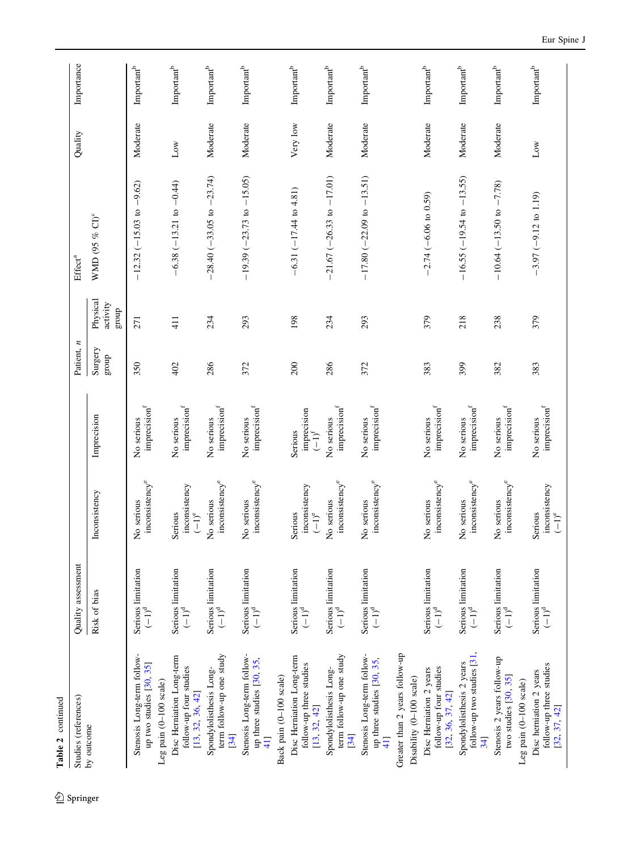| Table 2 continued                                                                 |                                                        |                                          |                                        |                  |                               |                                   |                 |                                                         |
|-----------------------------------------------------------------------------------|--------------------------------------------------------|------------------------------------------|----------------------------------------|------------------|-------------------------------|-----------------------------------|-----------------|---------------------------------------------------------|
| Studies (references)                                                              | Quality assessment                                     |                                          |                                        | Patient, $n$     |                               | <b>Effect</b> <sup>a</sup>        | Quality         | Importance                                              |
| by outcome                                                                        | Risk of bias                                           | Inconsistency                            | Imprecision                            | Surgery<br>group | Physical<br>activity<br>group | WMD (95 % CI) <sup>c</sup>        |                 |                                                         |
| Stenosis Long-term follow-<br>up two studies $[30, 35]$<br>Leg pain (0-100 scale) | Serious limitation<br>$(-1)^d$                         | inconsistency <sup>e</sup><br>No serious | imprecision $f$<br>No serious          | 350              | 271                           | $-12.32$ (-15.03 to $-9.62$ )     | Moderate        | $\label{eq:impro} \mbox{Important}^{\mbox{\tiny\rm b}}$ |
| Disc Herniation Long-term<br>follow-up four studies<br>[13, 32, 36, 42]           | Serious limitation<br>$\left( -1\right) ^{\mathtt{d}}$ | inconsistency<br>$(-1)^e$<br>Serious     | imprecision $f$<br>No serious          | 402              | 411                           | $-6.38$ ( $-13.21$ to $-0.44$ )   | $_{\text{Low}}$ | $\mbox{Important}^{\mbox{\tiny\rm b}}$                  |
| term follow-up one study<br>Spondylolisthesis Long-<br>$\left[34\right]$          | Serious limitation<br>$\left( -1\right) ^{\mathrm{d}}$ | inconsistency <sup>e</sup><br>No serious | imprecision $f$<br>No serious          | 286              | 234                           | $-28.40$ (-33.05 to $-23.74$ )    | Moderate        | $\mbox{Important}^{\mbox{\tiny\rm b}}$                  |
| Stenosis Long-term follow-<br>up three studies [30, 35,<br>$\overline{41}$        | Serious limitation<br>$\left( -1\right) ^{\mathtt{d}}$ | inconsistency <sup>e</sup><br>No serious | imprecision $f$<br>No serious          | 372              | 293                           | $-19.39$ ( $-23.73$ to $-15.05$ ) | Moderate        | Important <sup>b</sup>                                  |
| Back pain (0-100 scale)                                                           |                                                        |                                          |                                        |                  |                               |                                   |                 |                                                         |
| Disc Herniation Long-term<br>follow-up three studies<br>[13, 32, 42]              | Serious limitation<br>$(-1)^d$                         | inconsistency<br>Serious<br>$(-1)^e$     | imprecision<br>Serious<br>$(-1)^f$     | 200              | 198                           | $-6.31 (-17.44 to 4.81)$          | Very low        | Important <sup>b</sup>                                  |
| term follow-up one study<br>Spondylolisthesis Long-<br>[34]                       | Serious limitation<br>$(-1)^d$                         | inconsistency <sup>e</sup><br>No serious | imprecision $f$<br>No serious          | 286              | 234                           | $-21.67(-26.33$ to $-17.01$ )     | Moderate        | $\label{eq:impro} \mbox{Important}^{\mbox{\tiny\rm b}}$ |
| Stenosis Long-term follow-<br>up three studies [30, 35,<br>41]                    | Serious limitation<br>$\left( -1\right) ^{\mathtt{d}}$ | inconsistency <sup>e</sup><br>No serious | imprecision $f$<br>No serious          | 372              | 293                           | $-17.80$ ( $-22.09$ to $-13.51$ ) | Moderate        | Important <sup>b</sup>                                  |
| Greater than 2 years follow-up<br>Disability (0-100 scale)                        |                                                        |                                          |                                        |                  |                               |                                   |                 |                                                         |
| follow-up four studies<br>Disc Herniation 2 years<br>[32, 36, 37, 42]             | Serious limitation<br>$(-1)^d$                         | inconsistency <sup>e</sup><br>No serious | imprecision <sup>f</sup><br>No serious | 383              | 379                           | $-2.74(-6.06 \text{ to } 0.59)$   | Moderate        | Important <sup>b</sup>                                  |
| follow-up two studies [31,<br>Spondylolisthesis 2 years<br>34                     | Serious limitation<br>$\left( -1\right) ^{\mathtt{d}}$ | inconsistency <sup>e</sup><br>No serious | imprecision <sup>f</sup><br>No serious | 399              | 218                           | $-16.55$ (-19.54 to $-13.55$ )    | Moderate        | Important <sup>b</sup>                                  |
| Stenosis 2 years follow-up<br>two studies [30, 35]<br>Leg pain (0-100 scale)      | Serious limitation<br>$(-1)^d$                         | inconsistency <sup>e</sup><br>No serious | imprecision <sup>f</sup><br>No serious | 382              | 238                           | $-10.64$ ( $-13.50$ to $-7.78$ )  | Moderate        | Important <sup>b</sup>                                  |
| follow-up three studies<br>Disc herniation 2 years<br>[32, 37, 42]                | Serious limitation<br>$(-1)^d$                         | inconsistency<br>Serious<br>$(-1)^e$     | imprecision <sup>f</sup><br>No serious | 383              | 379                           | $-3.97$ $(-9.12$ to 1.19)         | Low             | Important <sup>b</sup>                                  |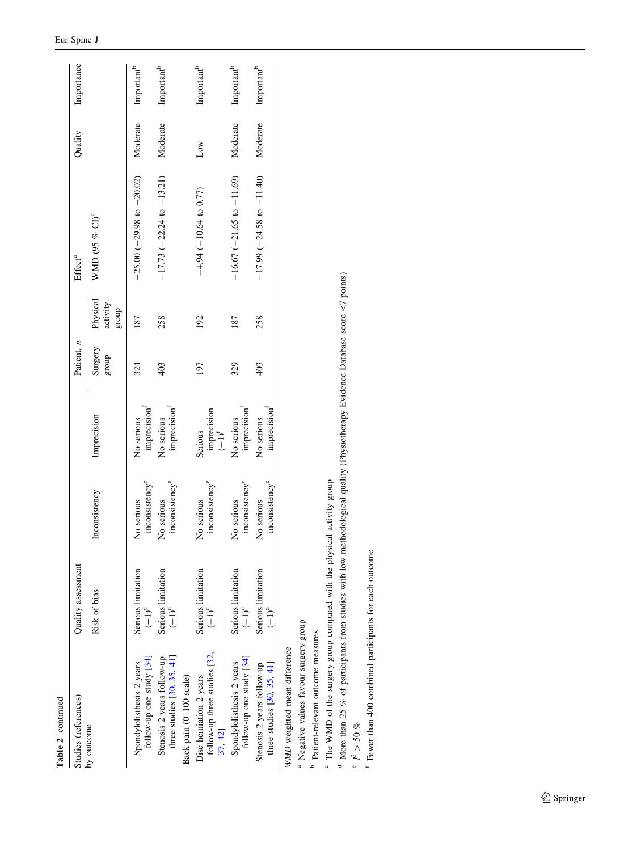| Table 2 continued                                                                                                                                                                                                                                                                                                                                                                                                                                                |                                |                                          |                                        |                  |                               |                                   |                 |                                        |
|------------------------------------------------------------------------------------------------------------------------------------------------------------------------------------------------------------------------------------------------------------------------------------------------------------------------------------------------------------------------------------------------------------------------------------------------------------------|--------------------------------|------------------------------------------|----------------------------------------|------------------|-------------------------------|-----------------------------------|-----------------|----------------------------------------|
| Studies (references)                                                                                                                                                                                                                                                                                                                                                                                                                                             | Quality assessment             |                                          |                                        | Patient, n       |                               | <b>Effect</b> <sup>a</sup>        | Quality         | Importance                             |
| by outcome                                                                                                                                                                                                                                                                                                                                                                                                                                                       | Risk of bias                   | Inconsistency                            | Imprecision                            | Surgery<br>group | Physical<br>activity<br>group | WMD (95 % CI) <sup>c</sup>        |                 |                                        |
| follow-up one study [34]<br>Spondylolisthesis 2 years                                                                                                                                                                                                                                                                                                                                                                                                            | Serious limitation<br>$(-1)^d$ | inconsistency <sup>e</sup><br>No serious | imprecision <sup>1</sup><br>No serious | 324              | 187                           | $-25.00$ ( $-29.98$ to $-20.02$ ) | Moderate        | Important <sup>b</sup>                 |
| three studies $[30, 35, 41]$<br>Stenosis 2 years follow-up<br>Back pain (0-100 scale)                                                                                                                                                                                                                                                                                                                                                                            | Serious limitation<br>$(-1)^d$ | inconsistency <sup>e</sup><br>No serious | imprecision <sup>1</sup><br>No serious | 403              | 258                           | $-17.73$ ( $-22.24$ to $-13.21$ ) | Moderate        | Important <sup>b</sup>                 |
| follow-up three studies [32,<br>Disc herniation 2 years<br>37, 42]                                                                                                                                                                                                                                                                                                                                                                                               | Serious limitation<br>$(-1)^d$ | inconsistency <sup>e</sup><br>No serious | imprecision<br>$(-1)^f$<br>Serious     | 197              | 192                           | $-4.94 (-10.64 to 0.77)$          | $_{\text{Low}}$ | Important <sup>b</sup>                 |
| follow-up one study [34]<br>Spondylolisthesis 2 years                                                                                                                                                                                                                                                                                                                                                                                                            | Serious limitation<br>$(-1)^d$ | inconsistency <sup>e</sup><br>No serious | imprecision <sup>1</sup><br>No serious | 329              | 187                           | $-16.67$ ( $-21.65$ to $-11.69$ ) | Moderate        | $\mbox{Important}^{\mbox{\tiny\rm b}}$ |
| three studies $[30, 35, 41]$<br>Stenosis 2 years follow-up                                                                                                                                                                                                                                                                                                                                                                                                       | Serious limitation<br>$(-1)^d$ | mconsistency <sup>e</sup><br>No serious  | imprecision <sup>1</sup><br>No serious | 403              | 258                           | $-17.99$ ( $-24.58$ to $-11.40$ ) | Moderate        | Important <sup>b</sup>                 |
| <sup>d</sup> More than 25 % of participants from studies with low methodological quality (Physiotherapy Evidence Database score <7 points)<br><sup>c</sup> The WMD of the surgery group compared with the physical activity group<br><sup>f</sup> Fewer than 400 combined participants for each outcome<br><sup>a</sup> Negative values favour surgery group<br><sup>b</sup> Patient-relevant outcome measures<br>WMD weighted mean difference<br>e $I^2 > 50$ % |                                |                                          |                                        |                  |                               |                                   |                 |                                        |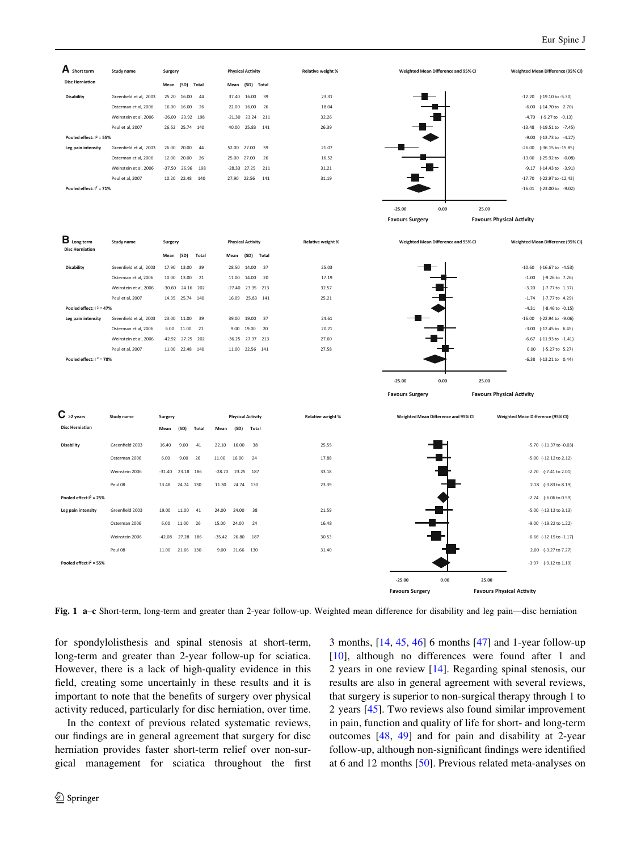<span id="page-11-0"></span>

| A Short term                            | <b>Study name</b>      | Surgery  |                    |           |          | <b>Physical Activity</b> |                          | Relative weight %        |                        | Weighted Mean Difference and 95% CI |                                  |          | Weighted Mean Difference (95% CI      |
|-----------------------------------------|------------------------|----------|--------------------|-----------|----------|--------------------------|--------------------------|--------------------------|------------------------|-------------------------------------|----------------------------------|----------|---------------------------------------|
| <b>Disc Herniation</b>                  |                        |          | Mean (SD) Total    |           |          |                          | Mean (SD) Total          |                          |                        |                                     |                                  |          |                                       |
| Disability                              | Greenfield et al, 2003 |          | 25.20 16.00        | 44        |          | 37.40                    | 16.00<br>39              | 23.31                    |                        |                                     |                                  |          | $-12.20$ $(-19.10 \text{ to } -5.30)$ |
|                                         | Osterman et al, 2006   | 16.00    | 16.00              | 26        |          | 22.00                    | 16.00<br>26              | 18.04                    |                        |                                     |                                  | $-6.00$  | (-14.70 to 2.70)                      |
|                                         | Weinstein et al. 2006  |          | $-26.00$ 23.92 198 |           |          | $-21.30$ 23.24           | 211                      | 32.26                    |                        |                                     |                                  | $-4.70$  | (-9.27 to -0.13)                      |
|                                         | Peul et al, 2007       |          | 26.52 25.74 140    |           |          | 40.00                    | 25.83<br>141             | 26.39                    |                        |                                     |                                  | $-13.48$ | $(-19.51 to -7.45)$                   |
| Pooled effect: $I^2 = 55%$              |                        |          |                    |           |          |                          |                          |                          |                        |                                     |                                  | $-9.00$  | (-13.73 to -4.27)                     |
| Leg pain intensity                      | Greenfield et al, 2003 | 26.00    | 20.00              | 44        |          | 52.00 27.00              | 39                       | 21.07                    |                        |                                     |                                  | $-26.00$ | (-36.15 to -15.85)                    |
|                                         | Osterman et al, 2006   | 12.00    | 20.00              | 26        |          | 25.00                    | 27.00<br>26              | 16.52                    |                        |                                     |                                  | $-13.00$ | $(-25.92 \text{ to } -0.08)$          |
|                                         | Weinstein et al, 2006  | $-37.50$ | 26.96              | 198       |          | $-28.33$ 27.25           | 211                      | 31.21                    |                        |                                     |                                  | $-9.17$  | (-14.43 to -3.91)                     |
|                                         | Peul et al. 2007       |          | 10.20 22.48        | 140       |          | 27.90                    | 22.56<br>141             | 31.19                    |                        |                                     |                                  | $-17.70$ | (-22.97 to -12.43)                    |
| Pooled effect: I <sup>2</sup> = 71%     |                        |          |                    |           |          |                          |                          |                          |                        |                                     |                                  |          | $-16.01$ $(-23.00 \text{ to } -9.02)$ |
|                                         |                        |          |                    |           |          |                          |                          |                          |                        |                                     |                                  |          |                                       |
|                                         |                        |          |                    |           |          |                          |                          |                          | $-25.00$               | 0.00                                | 25.00                            |          |                                       |
|                                         |                        |          |                    |           |          |                          |                          |                          | <b>Favours Surgery</b> |                                     | <b>Favours Physical Activity</b> |          |                                       |
| $B$ Long term<br><b>Disc Herniation</b> | <b>Study name</b>      | Surgery  |                    |           |          | <b>Physical Activity</b> |                          | <b>Relative weight %</b> |                        | Weighted Mean Difference and 95% CI |                                  |          | Weighted Mean Difference (95% CI      |
|                                         |                        |          | Mean (SD)          | Total     |          |                          | Mean (SD) Total          |                          |                        |                                     |                                  |          |                                       |
| <b>Disability</b>                       | Greenfield et al, 2003 |          | 17.90 13.00        | 39        |          | 28.50 14.00              | 37                       | 25.03                    |                        |                                     |                                  | $-10.60$ | (-16.67 to -4.53)                     |
|                                         | Osterman et al, 2006   | 10.00    | 13.00              | 21        |          | 11.00                    | 14.00<br>20              | 17.19                    |                        |                                     |                                  | $-1.00$  | (-9.26 to 7.26)                       |
|                                         | Weinstein et al, 2006  | $-30.60$ |                    | 24.16 202 |          | $-27.40$                 | 23.35 213                | 32.57                    |                        |                                     |                                  | $-3.20$  | (-7.77 to 1.37)                       |
|                                         | Peul et al, 2007       |          | 14.35 25.74 140    |           |          | 16.09                    | 25.83 141                | 25.21                    |                        |                                     |                                  | $-1.74$  | (-7.77 to 4.29)                       |
| Pooled effect: $I^2 = 47\%$             |                        |          |                    |           |          |                          |                          |                          |                        |                                     |                                  | $-4.31$  | $(-8.46 \text{ to } -0.15)$           |
| Leg pain intensity                      | Greenfield et al, 2003 | 23.00    | 11.00              | 39        |          | 39.00                    | 19.00<br>37              | 24.61                    |                        |                                     |                                  | $-16.00$ | (-22.94 to -9.06)                     |
|                                         | Osterman et al, 2006   | 6.00     | 11.00              | 21        |          | 9.00                     | 19.00<br>20              | 20.21                    |                        |                                     |                                  | $-3.00$  | (-12.45 to 6.45)                      |
|                                         | Weinstein et al, 2006  |          | -42.92 27.25 202   |           |          |                          | $-36.25$ 27.37 213       | 27.60                    |                        |                                     |                                  | $-6.67$  | $(-11.93 \text{ to } -1.41)$          |
|                                         | Peul et al, 2007       |          | 11.00 22.48 140    |           |          |                          | 11.00 22.56 141          | 27.58                    |                        |                                     |                                  | 0.00     | (-5.27 to 5.27)                       |
| Pooled effect: I <sup>2</sup> = 78%     |                        |          |                    |           |          |                          |                          |                          |                        |                                     |                                  |          | -6.38 (-13.21 to 0.44)                |
|                                         |                        |          |                    |           |          |                          |                          |                          | $-25.00$               | 0.00                                | 25.00                            |          |                                       |
|                                         |                        |          |                    |           |          |                          |                          |                          | <b>Favours Surgery</b> |                                     | <b>Favours Physical Activity</b> |          |                                       |
| $\mathbf{C}$ 22 years                   | <b>Study name</b>      | Surgery  |                    |           |          |                          | <b>Physical Activity</b> | <b>Relative weight %</b> |                        | Weighted Mean Difference and 95% CI |                                  |          | Weighted Mean Difference (95% CI)     |
| <b>Disc Herniation</b>                  |                        | Mean     | (SD)               | Total     | Mean     | (SD)                     | Total                    |                          |                        |                                     |                                  |          |                                       |
| <b>Disability</b>                       | Greenfield 2003        | 16.40    | 9.00               | 41        | 22.10    | 16.00                    | 38                       | 25.55                    |                        |                                     |                                  |          | -5.70 (-11.37 to -0.03)               |
|                                         | Osterman 2006          | 6.00     | 9.00               | 26        | 11.00    | 16.00                    | 24                       | 17.88                    |                        |                                     |                                  |          | -5.00 (-12.12 to 2.12)                |
|                                         | Weinstein 2006         | $-31.40$ | 23.18 186          |           | $-28.70$ | 23.25                    | 187                      | 33.18                    |                        |                                     |                                  |          | $-2.70$ $(-7.41$ to 2.01)             |
|                                         | Peul 08                | 13.48    | 24.74 130          |           | 11.30    | 24.74 130                |                          | 23.39                    |                        |                                     |                                  |          | 2.18 (-3.83 to 8.19)                  |
| Pooled effect I <sup>2</sup> = 25%      |                        |          |                    |           |          |                          |                          |                          |                        |                                     |                                  |          | $-2.74$ $(-6.06 \text{ to } 0.59)$    |
| Leg pain intensity                      | Greenfield 2003        | 19.00    | 11.00              | 41        | 24.00    | 24.00                    | 38                       | 21.59                    |                        |                                     |                                  |          | -5.00 (-13.13 to 3.13)                |
|                                         | Osterman 2006          | 6.00     | 11.00              | 26        | 15.00    | 24.00                    | 24                       | 16.48                    |                        |                                     |                                  |          | -9.00 (-19.22 to 1.22)                |
|                                         | Weinstein 2006         | $-42.08$ | 27.28              | 186       | $-35.42$ | 26.80                    | 187                      | 30.53                    |                        |                                     |                                  |          | $-6.66$ $(-12.15 \text{ to } -1.17)$  |
|                                         | Peul 08                | 11.00    | 21.66 130          |           | 9.00     | 21.66                    | 130                      | 31.40                    |                        |                                     |                                  |          | 2.00 (-3.27 to 7.27)                  |
| Pooled effect $I^2 = 55\%$              |                        |          |                    |           |          |                          |                          |                          |                        |                                     |                                  |          | -3.97 (-9.12 to 1.19)                 |
|                                         |                        |          |                    |           |          |                          |                          |                          | $-25.00$               | 0.00                                | 25.00                            |          |                                       |
|                                         |                        |          |                    |           |          |                          |                          |                          | <b>Favours Surgery</b> |                                     | <b>Favours Physical Activity</b> |          |                                       |

Fig. 1 a–c Short-term, long-term and greater than 2-year follow-up. Weighted mean difference for disability and leg pain—disc herniation

for spondylolisthesis and spinal stenosis at short-term, long-term and greater than 2-year follow-up for sciatica. However, there is a lack of high-quality evidence in this field, creating some uncertainly in these results and it is important to note that the benefits of surgery over physical activity reduced, particularly for disc herniation, over time.

In the context of previous related systematic reviews, our findings are in general agreement that surgery for disc herniation provides faster short-term relief over non-surgical management for sciatica throughout the first

<sup>2</sup> Springer

3 months, [\[14](#page-15-0), [45,](#page-16-0) [46](#page-16-0)] 6 months [\[47](#page-16-0)] and 1-year follow-up [\[10](#page-15-0)], although no differences were found after 1 and 2 years in one review [[14\]](#page-15-0). Regarding spinal stenosis, our results are also in general agreement with several reviews, that surgery is superior to non-surgical therapy through 1 to 2 years [[45\]](#page-16-0). Two reviews also found similar improvement in pain, function and quality of life for short- and long-term outcomes [[48,](#page-16-0) [49\]](#page-16-0) and for pain and disability at 2-year follow-up, although non-significant findings were identified at 6 and 12 months [\[50](#page-16-0)]. Previous related meta-analyses on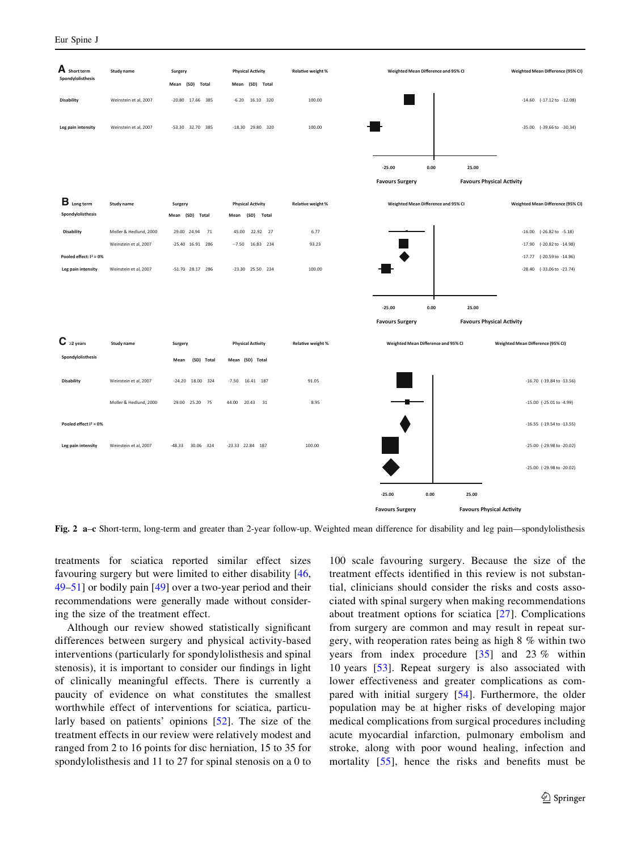<span id="page-12-0"></span>

Fig. 2 a–c Short-term, long-term and greater than 2-year follow-up. Weighted mean difference for disability and leg pain—spondylolisthesis

treatments for sciatica reported similar effect sizes favouring surgery but were limited to either disability [[46,](#page-16-0) [49](#page-16-0)–[51\]](#page-16-0) or bodily pain [\[49](#page-16-0)] over a two-year period and their recommendations were generally made without considering the size of the treatment effect.

Although our review showed statistically significant differences between surgery and physical activity-based interventions (particularly for spondylolisthesis and spinal stenosis), it is important to consider our findings in light of clinically meaningful effects. There is currently a paucity of evidence on what constitutes the smallest worthwhile effect of interventions for sciatica, particularly based on patients' opinions [\[52](#page-16-0)]. The size of the treatment effects in our review were relatively modest and ranged from 2 to 16 points for disc herniation, 15 to 35 for spondylolisthesis and 11 to 27 for spinal stenosis on a 0 to

100 scale favouring surgery. Because the size of the treatment effects identified in this review is not substantial, clinicians should consider the risks and costs associated with spinal surgery when making recommendations about treatment options for sciatica [\[27\]](#page-15-0). Complications from surgery are common and may result in repeat surgery, with reoperation rates being as high 8 % within two years from index procedure [\[35](#page-15-0)] and 23 % within 10 years [\[53\]](#page-16-0). Repeat surgery is also associated with lower effectiveness and greater complications as compared with initial surgery [[54\]](#page-16-0). Furthermore, the older population may be at higher risks of developing major medical complications from surgical procedures including acute myocardial infarction, pulmonary embolism and stroke, along with poor wound healing, infection and mortality [\[55\]](#page-16-0), hence the risks and benefits must be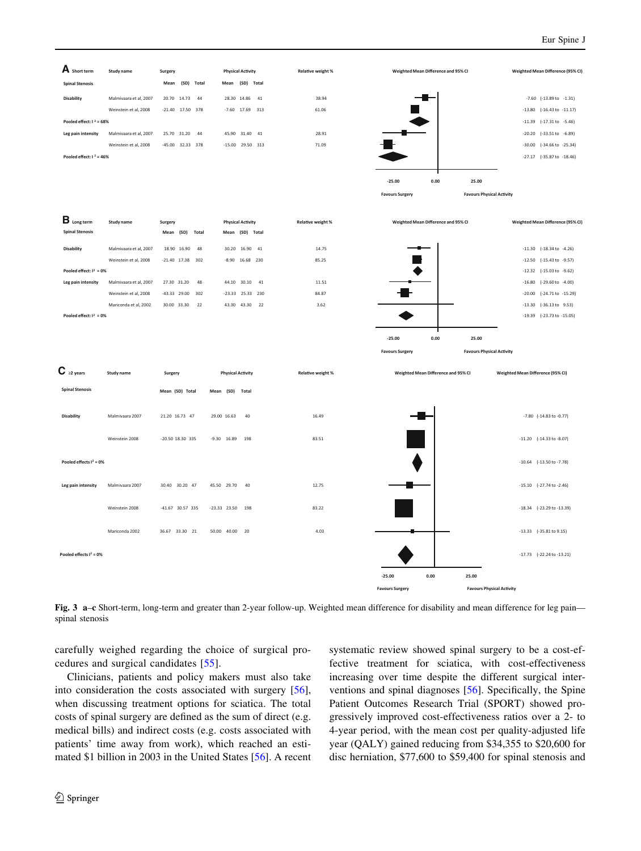<span id="page-13-0"></span>

Fig. 3 a–c Short-term, long-term and greater than 2-year follow-up. Weighted mean difference for disability and mean difference for leg pain spinal stenosis

carefully weighed regarding the choice of surgical procedures and surgical candidates [[55\]](#page-16-0).

Clinicians, patients and policy makers must also take into consideration the costs associated with surgery [\[56](#page-16-0)], when discussing treatment options for sciatica. The total costs of spinal surgery are defined as the sum of direct (e.g. medical bills) and indirect costs (e.g. costs associated with patients' time away from work), which reached an estimated \$1 billion in 2003 in the United States [[56\]](#page-16-0). A recent

increasing over time despite the different surgical interventions and spinal diagnoses [[56\]](#page-16-0). Specifically, the Spine Patient Outcomes Research Trial (SPORT) showed progressively improved cost-effectiveness ratios over a 2- to 4-year period, with the mean cost per quality-adjusted life year (QALY) gained reducing from \$34,355 to \$20,600 for disc herniation, \$77,600 to \$59,400 for spinal stenosis and

systematic review showed spinal surgery to be a cost-effective treatment for sciatica, with cost-effectiveness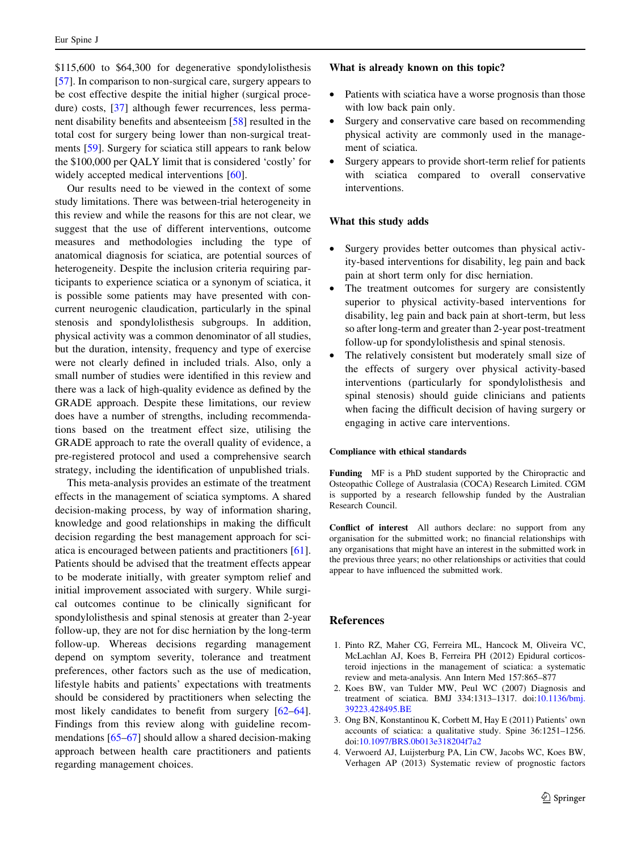<span id="page-14-0"></span>\$115,600 to \$64,300 for degenerative spondylolisthesis [\[57](#page-16-0)]. In comparison to non-surgical care, surgery appears to be cost effective despite the initial higher (surgical proce-dure) costs, [[37\]](#page-16-0) although fewer recurrences, less permanent disability benefits and absenteeism [\[58](#page-16-0)] resulted in the total cost for surgery being lower than non-surgical treatments [\[59](#page-16-0)]. Surgery for sciatica still appears to rank below the \$100,000 per QALY limit that is considered 'costly' for widely accepted medical interventions [\[60](#page-16-0)].

Our results need to be viewed in the context of some study limitations. There was between-trial heterogeneity in this review and while the reasons for this are not clear, we suggest that the use of different interventions, outcome measures and methodologies including the type of anatomical diagnosis for sciatica, are potential sources of heterogeneity. Despite the inclusion criteria requiring participants to experience sciatica or a synonym of sciatica, it is possible some patients may have presented with concurrent neurogenic claudication, particularly in the spinal stenosis and spondylolisthesis subgroups. In addition, physical activity was a common denominator of all studies, but the duration, intensity, frequency and type of exercise were not clearly defined in included trials. Also, only a small number of studies were identified in this review and there was a lack of high-quality evidence as defined by the GRADE approach. Despite these limitations, our review does have a number of strengths, including recommendations based on the treatment effect size, utilising the GRADE approach to rate the overall quality of evidence, a pre-registered protocol and used a comprehensive search strategy, including the identification of unpublished trials.

This meta-analysis provides an estimate of the treatment effects in the management of sciatica symptoms. A shared decision-making process, by way of information sharing, knowledge and good relationships in making the difficult decision regarding the best management approach for sciatica is encouraged between patients and practitioners [\[61](#page-16-0)]. Patients should be advised that the treatment effects appear to be moderate initially, with greater symptom relief and initial improvement associated with surgery. While surgical outcomes continue to be clinically significant for spondylolisthesis and spinal stenosis at greater than 2-year follow-up, they are not for disc herniation by the long-term follow-up. Whereas decisions regarding management depend on symptom severity, tolerance and treatment preferences, other factors such as the use of medication, lifestyle habits and patients' expectations with treatments should be considered by practitioners when selecting the most likely candidates to benefit from surgery [\[62–64](#page-16-0)]. Findings from this review along with guideline recommendations [[65–67\]](#page-17-0) should allow a shared decision-making approach between health care practitioners and patients regarding management choices.

#### What is already known on this topic?

- Patients with sciatica have a worse prognosis than those with low back pain only.
- Surgery and conservative care based on recommending physical activity are commonly used in the management of sciatica.
- Surgery appears to provide short-term relief for patients with sciatica compared to overall conservative interventions.

### What this study adds

- Surgery provides better outcomes than physical activity-based interventions for disability, leg pain and back pain at short term only for disc herniation.
- The treatment outcomes for surgery are consistently superior to physical activity-based interventions for disability, leg pain and back pain at short-term, but less so after long-term and greater than 2-year post-treatment follow-up for spondylolisthesis and spinal stenosis.
- The relatively consistent but moderately small size of the effects of surgery over physical activity-based interventions (particularly for spondylolisthesis and spinal stenosis) should guide clinicians and patients when facing the difficult decision of having surgery or engaging in active care interventions.

#### Compliance with ethical standards

Funding MF is a PhD student supported by the Chiropractic and Osteopathic College of Australasia (COCA) Research Limited. CGM is supported by a research fellowship funded by the Australian Research Council.

Conflict of interest All authors declare: no support from any organisation for the submitted work; no financial relationships with any organisations that might have an interest in the submitted work in the previous three years; no other relationships or activities that could appear to have influenced the submitted work.

#### References

- 1. Pinto RZ, Maher CG, Ferreira ML, Hancock M, Oliveira VC, McLachlan AJ, Koes B, Ferreira PH (2012) Epidural corticosteroid injections in the management of sciatica: a systematic review and meta-analysis. Ann Intern Med 157:865–877
- 2. Koes BW, van Tulder MW, Peul WC (2007) Diagnosis and treatment of sciatica. BMJ 334:1313–1317. doi:[10.1136/bmj.](http://dx.doi.org/10.1136/bmj.39223.428495.BE) [39223.428495.BE](http://dx.doi.org/10.1136/bmj.39223.428495.BE)
- 3. Ong BN, Konstantinou K, Corbett M, Hay E (2011) Patients' own accounts of sciatica: a qualitative study. Spine 36:1251–1256. doi:[10.1097/BRS.0b013e318204f7a2](http://dx.doi.org/10.1097/BRS.0b013e318204f7a2)
- 4. Verwoerd AJ, Luijsterburg PA, Lin CW, Jacobs WC, Koes BW, Verhagen AP (2013) Systematic review of prognostic factors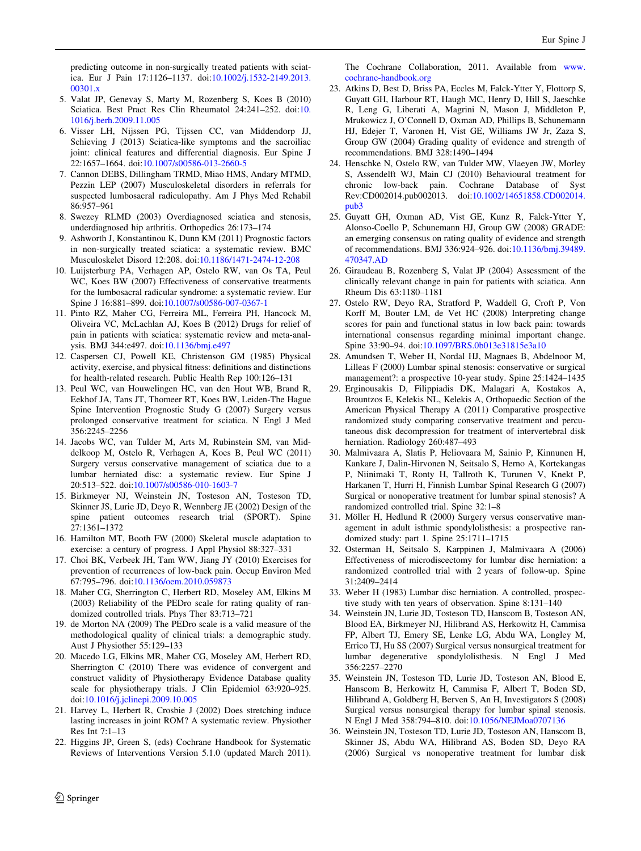<span id="page-15-0"></span>predicting outcome in non-surgically treated patients with sciatica. Eur J Pain 17:1126–1137. doi:[10.1002/j.1532-2149.2013.](http://dx.doi.org/10.1002/j.1532-2149.2013.00301.x) [00301.x](http://dx.doi.org/10.1002/j.1532-2149.2013.00301.x)

- 5. Valat JP, Genevay S, Marty M, Rozenberg S, Koes B (2010) Sciatica. Best Pract Res Clin Rheumatol 24:241–252. doi:[10.](http://dx.doi.org/10.1016/j.berh.2009.11.005) [1016/j.berh.2009.11.005](http://dx.doi.org/10.1016/j.berh.2009.11.005)
- 6. Visser LH, Nijssen PG, Tijssen CC, van Middendorp JJ, Schieving J (2013) Sciatica-like symptoms and the sacroiliac joint: clinical features and differential diagnosis. Eur Spine J 22:1657–1664. doi:[10.1007/s00586-013-2660-5](http://dx.doi.org/10.1007/s00586-013-2660-5)
- 7. Cannon DEBS, Dillingham TRMD, Miao HMS, Andary MTMD, Pezzin LEP (2007) Musculoskeletal disorders in referrals for suspected lumbosacral radiculopathy. Am J Phys Med Rehabil 86:957–961
- 8. Swezey RLMD (2003) Overdiagnosed sciatica and stenosis, underdiagnosed hip arthritis. Orthopedics 26:173–174
- 9. Ashworth J, Konstantinou K, Dunn KM (2011) Prognostic factors in non-surgically treated sciatica: a systematic review. BMC Musculoskelet Disord 12:208. doi[:10.1186/1471-2474-12-208](http://dx.doi.org/10.1186/1471-2474-12-208)
- 10. Luijsterburg PA, Verhagen AP, Ostelo RW, van Os TA, Peul WC, Koes BW (2007) Effectiveness of conservative treatments for the lumbosacral radicular syndrome: a systematic review. Eur Spine J 16:881–899. doi:[10.1007/s00586-007-0367-1](http://dx.doi.org/10.1007/s00586-007-0367-1)
- 11. Pinto RZ, Maher CG, Ferreira ML, Ferreira PH, Hancock M, Oliveira VC, McLachlan AJ, Koes B (2012) Drugs for relief of pain in patients with sciatica: systematic review and meta-analysis. BMJ 344:e497. doi:[10.1136/bmj.e497](http://dx.doi.org/10.1136/bmj.e497)
- 12. Caspersen CJ, Powell KE, Christenson GM (1985) Physical activity, exercise, and physical fitness: definitions and distinctions for health-related research. Public Health Rep 100:126–131
- 13. Peul WC, van Houwelingen HC, van den Hout WB, Brand R, Eekhof JA, Tans JT, Thomeer RT, Koes BW, Leiden-The Hague Spine Intervention Prognostic Study G (2007) Surgery versus prolonged conservative treatment for sciatica. N Engl J Med 356:2245–2256
- 14. Jacobs WC, van Tulder M, Arts M, Rubinstein SM, van Middelkoop M, Ostelo R, Verhagen A, Koes B, Peul WC (2011) Surgery versus conservative management of sciatica due to a lumbar herniated disc: a systematic review. Eur Spine J 20:513–522. doi[:10.1007/s00586-010-1603-7](http://dx.doi.org/10.1007/s00586-010-1603-7)
- 15. Birkmeyer NJ, Weinstein JN, Tosteson AN, Tosteson TD, Skinner JS, Lurie JD, Deyo R, Wennberg JE (2002) Design of the spine patient outcomes research trial (SPORT). Spine 27:1361–1372
- 16. Hamilton MT, Booth FW (2000) Skeletal muscle adaptation to exercise: a century of progress. J Appl Physiol 88:327–331
- 17. Choi BK, Verbeek JH, Tam WW, Jiang JY (2010) Exercises for prevention of recurrences of low-back pain. Occup Environ Med 67:795–796. doi[:10.1136/oem.2010.059873](http://dx.doi.org/10.1136/oem.2010.059873)
- 18. Maher CG, Sherrington C, Herbert RD, Moseley AM, Elkins M (2003) Reliability of the PEDro scale for rating quality of randomized controlled trials. Phys Ther 83:713–721
- 19. de Morton NA (2009) The PEDro scale is a valid measure of the methodological quality of clinical trials: a demographic study. Aust J Physiother 55:129–133
- 20. Macedo LG, Elkins MR, Maher CG, Moseley AM, Herbert RD, Sherrington C (2010) There was evidence of convergent and construct validity of Physiotherapy Evidence Database quality scale for physiotherapy trials. J Clin Epidemiol 63:920–925. doi:[10.1016/j.jclinepi.2009.10.005](http://dx.doi.org/10.1016/j.jclinepi.2009.10.005)
- 21. Harvey L, Herbert R, Crosbie J (2002) Does stretching induce lasting increases in joint ROM? A systematic review. Physiother Res Int 7:1–13
- 22. Higgins JP, Green S, (eds) Cochrane Handbook for Systematic Reviews of Interventions Version 5.1.0 (updated March 2011).

The Cochrane Collaboration, 2011. Available from [www.](http://www.cochrane-handbook.org) [cochrane-handbook.org](http://www.cochrane-handbook.org)

- 23. Atkins D, Best D, Briss PA, Eccles M, Falck-Ytter Y, Flottorp S, Guyatt GH, Harbour RT, Haugh MC, Henry D, Hill S, Jaeschke R, Leng G, Liberati A, Magrini N, Mason J, Middleton P, Mrukowicz J, O'Connell D, Oxman AD, Phillips B, Schunemann HJ, Edejer T, Varonen H, Vist GE, Williams JW Jr, Zaza S, Group GW (2004) Grading quality of evidence and strength of recommendations. BMJ 328:1490–1494
- 24. Henschke N, Ostelo RW, van Tulder MW, Vlaeyen JW, Morley S, Assendelft WJ, Main CJ (2010) Behavioural treatment for chronic low-back pain. Cochrane Database of Syst Rev:CD002014.pub002013. doi[:10.1002/14651858.CD002014.](http://dx.doi.org/10.1002/14651858.CD002014.pub3) [pub3](http://dx.doi.org/10.1002/14651858.CD002014.pub3)
- 25. Guyatt GH, Oxman AD, Vist GE, Kunz R, Falck-Ytter Y, Alonso-Coello P, Schunemann HJ, Group GW (2008) GRADE: an emerging consensus on rating quality of evidence and strength of recommendations. BMJ 336:924–926. doi:[10.1136/bmj.39489.](http://dx.doi.org/10.1136/bmj.39489.470347.AD) [470347.AD](http://dx.doi.org/10.1136/bmj.39489.470347.AD)
- 26. Giraudeau B, Rozenberg S, Valat JP (2004) Assessment of the clinically relevant change in pain for patients with sciatica. Ann Rheum Dis 63:1180–1181
- 27. Ostelo RW, Deyo RA, Stratford P, Waddell G, Croft P, Von Korff M, Bouter LM, de Vet HC (2008) Interpreting change scores for pain and functional status in low back pain: towards international consensus regarding minimal important change. Spine 33:90–94. doi[:10.1097/BRS.0b013e31815e3a10](http://dx.doi.org/10.1097/BRS.0b013e31815e3a10)
- 28. Amundsen T, Weber H, Nordal HJ, Magnaes B, Abdelnoor M, Lilleas F (2000) Lumbar spinal stenosis: conservative or surgical management?: a prospective 10-year study. Spine 25:1424–1435
- 29. Erginousakis D, Filippiadis DK, Malagari A, Kostakos A, Brountzos E, Kelekis NL, Kelekis A, Orthopaedic Section of the American Physical Therapy A (2011) Comparative prospective randomized study comparing conservative treatment and percutaneous disk decompression for treatment of intervertebral disk herniation. Radiology 260:487–493
- 30. Malmivaara A, Slatis P, Heliovaara M, Sainio P, Kinnunen H, Kankare J, Dalin-Hirvonen N, Seitsalo S, Herno A, Kortekangas P, Niinimaki T, Ronty H, Tallroth K, Turunen V, Knekt P, Harkanen T, Hurri H, Finnish Lumbar Spinal Research G (2007) Surgical or nonoperative treatment for lumbar spinal stenosis? A randomized controlled trial. Spine 32:1–8
- 31. Möller H, Hedlund R (2000) Surgery versus conservative management in adult isthmic spondylolisthesis: a prospective randomized study: part 1. Spine 25:1711–1715
- 32. Osterman H, Seitsalo S, Karppinen J, Malmivaara A (2006) Effectiveness of microdiscectomy for lumbar disc herniation: a randomized controlled trial with 2 years of follow-up. Spine 31:2409–2414
- 33. Weber H (1983) Lumbar disc herniation. A controlled, prospective study with ten years of observation. Spine 8:131–140
- 34. Weinstein JN, Lurie JD, Tosteson TD, Hanscom B, Tosteson AN, Blood EA, Birkmeyer NJ, Hilibrand AS, Herkowitz H, Cammisa FP, Albert TJ, Emery SE, Lenke LG, Abdu WA, Longley M, Errico TJ, Hu SS (2007) Surgical versus nonsurgical treatment for lumbar degenerative spondylolisthesis. N Engl J Med 356:2257–2270
- 35. Weinstein JN, Tosteson TD, Lurie JD, Tosteson AN, Blood E, Hanscom B, Herkowitz H, Cammisa F, Albert T, Boden SD, Hilibrand A, Goldberg H, Berven S, An H, Investigators S (2008) Surgical versus nonsurgical therapy for lumbar spinal stenosis. N Engl J Med 358:794–810. doi:[10.1056/NEJMoa0707136](http://dx.doi.org/10.1056/NEJMoa0707136)
- 36. Weinstein JN, Tosteson TD, Lurie JD, Tosteson AN, Hanscom B, Skinner JS, Abdu WA, Hilibrand AS, Boden SD, Deyo RA (2006) Surgical vs nonoperative treatment for lumbar disk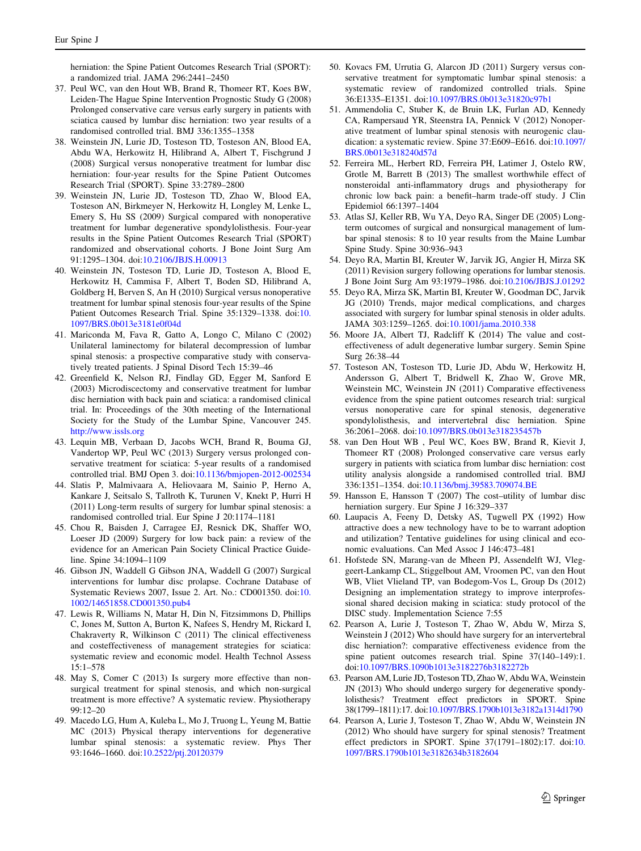<span id="page-16-0"></span>herniation: the Spine Patient Outcomes Research Trial (SPORT): a randomized trial. JAMA 296:2441–2450

- 37. Peul WC, van den Hout WB, Brand R, Thomeer RT, Koes BW, Leiden-The Hague Spine Intervention Prognostic Study G (2008) Prolonged conservative care versus early surgery in patients with sciatica caused by lumbar disc herniation: two year results of a randomised controlled trial. BMJ 336:1355–1358
- 38. Weinstein JN, Lurie JD, Tosteson TD, Tosteson AN, Blood EA, Abdu WA, Herkowitz H, Hilibrand A, Albert T, Fischgrund J (2008) Surgical versus nonoperative treatment for lumbar disc herniation: four-year results for the Spine Patient Outcomes Research Trial (SPORT). Spine 33:2789–2800
- 39. Weinstein JN, Lurie JD, Tosteson TD, Zhao W, Blood EA, Tosteson AN, Birkmeyer N, Herkowitz H, Longley M, Lenke L, Emery S, Hu SS (2009) Surgical compared with nonoperative treatment for lumbar degenerative spondylolisthesis. Four-year results in the Spine Patient Outcomes Research Trial (SPORT) randomized and observational cohorts. J Bone Joint Surg Am 91:1295–1304. doi:[10.2106/JBJS.H.00913](http://dx.doi.org/10.2106/JBJS.H.00913)
- 40. Weinstein JN, Tosteson TD, Lurie JD, Tosteson A, Blood E, Herkowitz H, Cammisa F, Albert T, Boden SD, Hilibrand A, Goldberg H, Berven S, An H (2010) Surgical versus nonoperative treatment for lumbar spinal stenosis four-year results of the Spine Patient Outcomes Research Trial. Spine 35:1329–1338. doi:[10.](http://dx.doi.org/10.1097/BRS.0b013e3181e0f04d) [1097/BRS.0b013e3181e0f04d](http://dx.doi.org/10.1097/BRS.0b013e3181e0f04d)
- 41. Mariconda M, Fava R, Gatto A, Longo C, Milano C (2002) Unilateral laminectomy for bilateral decompression of lumbar spinal stenosis: a prospective comparative study with conservatively treated patients. J Spinal Disord Tech 15:39–46
- 42. Greenfield K, Nelson RJ, Findlay GD, Egger M, Sanford E (2003) Microdiscectomy and conservative treatment for lumbar disc herniation with back pain and sciatica: a randomised clinical trial. In: Proceedings of the 30th meeting of the International Society for the Study of the Lumbar Spine, Vancouver 245. <http://www.issls.org>
- 43. Lequin MB, Verbaan D, Jacobs WCH, Brand R, Bouma GJ, Vandertop WP, Peul WC (2013) Surgery versus prolonged conservative treatment for sciatica: 5-year results of a randomised controlled trial. BMJ Open 3. doi[:10.1136/bmjopen-2012-002534](http://dx.doi.org/10.1136/bmjopen-2012-002534)
- 44. Slatis P, Malmivaara A, Heliovaara M, Sainio P, Herno A, Kankare J, Seitsalo S, Tallroth K, Turunen V, Knekt P, Hurri H (2011) Long-term results of surgery for lumbar spinal stenosis: a randomised controlled trial. Eur Spine J 20:1174–1181
- 45. Chou R, Baisden J, Carragee EJ, Resnick DK, Shaffer WO, Loeser JD (2009) Surgery for low back pain: a review of the evidence for an American Pain Society Clinical Practice Guideline. Spine 34:1094–1109
- 46. Gibson JN, Waddell G Gibson JNA, Waddell G (2007) Surgical interventions for lumbar disc prolapse. Cochrane Database of Systematic Reviews 2007, Issue 2. Art. No.: CD001350. doi:[10.](http://dx.doi.org/10.1002/14651858.CD001350.pub4) [1002/14651858.CD001350.pub4](http://dx.doi.org/10.1002/14651858.CD001350.pub4)
- 47. Lewis R, Williams N, Matar H, Din N, Fitzsimmons D, Phillips C, Jones M, Sutton A, Burton K, Nafees S, Hendry M, Rickard I, Chakraverty R, Wilkinson C (2011) The clinical effectiveness and costeffectiveness of management strategies for sciatica: systematic review and economic model. Health Technol Assess 15:1–578
- 48. May S, Comer C (2013) Is surgery more effective than nonsurgical treatment for spinal stenosis, and which non-surgical treatment is more effective? A systematic review. Physiotherapy 99:12–20
- 49. Macedo LG, Hum A, Kuleba L, Mo J, Truong L, Yeung M, Battie MC (2013) Physical therapy interventions for degenerative lumbar spinal stenosis: a systematic review. Phys Ther 93:1646–1660. doi:[10.2522/ptj.20120379](http://dx.doi.org/10.2522/ptj.20120379)
- 50. Kovacs FM, Urrutia G, Alarcon JD (2011) Surgery versus conservative treatment for symptomatic lumbar spinal stenosis: a systematic review of randomized controlled trials. Spine 36:E1335–E1351. doi[:10.1097/BRS.0b013e31820c97b1](http://dx.doi.org/10.1097/BRS.0b013e31820c97b1)
- 51. Ammendolia C, Stuber K, de Bruin LK, Furlan AD, Kennedy CA, Rampersaud YR, Steenstra IA, Pennick V (2012) Nonoperative treatment of lumbar spinal stenosis with neurogenic claudication: a systematic review. Spine 37:E609–E616. doi[:10.1097/](http://dx.doi.org/10.1097/BRS.0b013e318240d57d) [BRS.0b013e318240d57d](http://dx.doi.org/10.1097/BRS.0b013e318240d57d)
- 52. Ferreira ML, Herbert RD, Ferreira PH, Latimer J, Ostelo RW, Grotle M, Barrett B (2013) The smallest worthwhile effect of nonsteroidal anti-inflammatory drugs and physiotherapy for chronic low back pain: a benefit–harm trade-off study. J Clin Epidemiol 66:1397–1404
- 53. Atlas SJ, Keller RB, Wu YA, Deyo RA, Singer DE (2005) Longterm outcomes of surgical and nonsurgical management of lumbar spinal stenosis: 8 to 10 year results from the Maine Lumbar Spine Study. Spine 30:936–943
- 54. Deyo RA, Martin BI, Kreuter W, Jarvik JG, Angier H, Mirza SK (2011) Revision surgery following operations for lumbar stenosis. J Bone Joint Surg Am 93:1979–1986. doi[:10.2106/JBJS.J.01292](http://dx.doi.org/10.2106/JBJS.J.01292)
- 55. Deyo RA, Mirza SK, Martin BI, Kreuter W, Goodman DC, Jarvik JG (2010) Trends, major medical complications, and charges associated with surgery for lumbar spinal stenosis in older adults. JAMA 303:1259–1265. doi:[10.1001/jama.2010.338](http://dx.doi.org/10.1001/jama.2010.338)
- 56. Moore JA, Albert TJ, Radcliff K (2014) The value and costeffectiveness of adult degenerative lumbar surgery. Semin Spine Surg 26:38–44
- 57. Tosteson AN, Tosteson TD, Lurie JD, Abdu W, Herkowitz H, Andersson G, Albert T, Bridwell K, Zhao W, Grove MR, Weinstein MC, Weinstein JN (2011) Comparative effectiveness evidence from the spine patient outcomes research trial: surgical versus nonoperative care for spinal stenosis, degenerative spondylolisthesis, and intervertebral disc herniation. Spine 36:2061–2068. doi:[10.1097/BRS.0b013e318235457b](http://dx.doi.org/10.1097/BRS.0b013e318235457b)
- 58. van Den Hout WB , Peul WC, Koes BW, Brand R, Kievit J, Thomeer RT (2008) Prolonged conservative care versus early surgery in patients with sciatica from lumbar disc herniation: cost utility analysis alongside a randomised controlled trial. BMJ 336:1351–1354. doi[:10.1136/bmj.39583.709074.BE](http://dx.doi.org/10.1136/bmj.39583.709074.BE)
- 59. Hansson E, Hansson T (2007) The cost–utility of lumbar disc herniation surgery. Eur Spine J 16:329–337
- 60. Laupacis A, Feeny D, Detsky AS, Tugwell PX (1992) How attractive does a new technology have to be to warrant adoption and utilization? Tentative guidelines for using clinical and economic evaluations. Can Med Assoc J 146:473–481
- 61. Hofstede SN, Marang-van de Mheen PJ, Assendelft WJ, Vleggeert-Lankamp CL, Stiggelbout AM, Vroomen PC, van den Hout WB, Vliet Vlieland TP, van Bodegom-Vos L, Group Ds (2012) Designing an implementation strategy to improve interprofessional shared decision making in sciatica: study protocol of the DISC study. Implementation Science 7:55
- 62. Pearson A, Lurie J, Tosteson T, Zhao W, Abdu W, Mirza S, Weinstein J (2012) Who should have surgery for an intervertebral disc herniation?: comparative effectiveness evidence from the spine patient outcomes research trial. Spine 37(140–149):1. doi:[10.1097/BRS.1090b1013e3182276b3182272b](http://dx.doi.org/10.1097/BRS.1090b1013e3182276b3182272b)
- 63. Pearson AM, Lurie JD, Tosteson TD, Zhao W, Abdu WA, Weinstein JN (2013) Who should undergo surgery for degenerative spondylolisthesis? Treatment effect predictors in SPORT. Spine 38(1799–1811):17. doi[:10.1097/BRS.1790b1013e3182a1314d1790](http://dx.doi.org/10.1097/BRS.1790b1013e3182a1314d1790)
- 64. Pearson A, Lurie J, Tosteson T, Zhao W, Abdu W, Weinstein JN (2012) Who should have surgery for spinal stenosis? Treatment effect predictors in SPORT. Spine 37(1791–1802):17. doi:[10.](http://dx.doi.org/10.1097/BRS.1790b1013e3182634b3182604) [1097/BRS.1790b1013e3182634b3182604](http://dx.doi.org/10.1097/BRS.1790b1013e3182634b3182604)